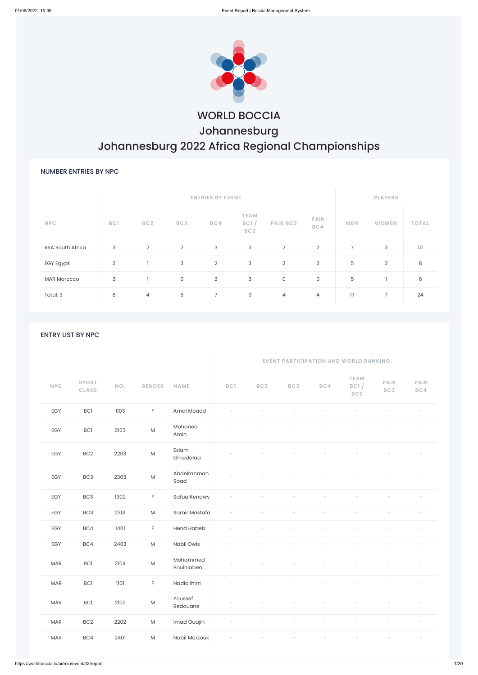

# WORLD BOCCIA Johannesburg Johannesburg 2022 Africa Regional Championships

### NUMBER ENTRIES BY NPC

|                         |     |                 | <b>PLAYERS</b> |                |                                        |                 |                    |                |              |              |
|-------------------------|-----|-----------------|----------------|----------------|----------------------------------------|-----------------|--------------------|----------------|--------------|--------------|
| <b>NPC</b>              | BC1 | BC <sub>2</sub> | BC3            | BC4            | <b>TEAM</b><br>BC1/<br>BC <sub>2</sub> | <b>PAIR BC3</b> | <b>PAIR</b><br>BC4 | <b>MEN</b>     | <b>WOMEN</b> | <b>TOTAL</b> |
| <b>RSA South Africa</b> | 3   | $\overline{2}$  | $\overline{2}$ | $\mathbf{3}$   | 3                                      | $\overline{2}$  | $\overline{2}$     | $\overline{7}$ | 3            | 10           |
| EGY Egypt               | 2   |                 | $\sqrt{3}$     | $\overline{2}$ | 3                                      | $\overline{2}$  | $\overline{2}$     | 5              | 3            | 8            |
| <b>MAR Morocco</b>      | 3   |                 | $\mathsf{O}$   | $\overline{2}$ | 3                                      | $\mathsf O$     | 0                  | $\mathbf 5$    |              | 6            |
| Total: 3                | 8   | 4               | 5              | $7^{\circ}$    | 9                                      | 4               | 4                  | 17             | 7            | 24           |

### ENTRY LIST BY NPC

|            |                              |      |               |                        | <b>EVENT PARTICIPATION AND WORLD RANKING</b> |                 |     |     |                                        |                    |             |
|------------|------------------------------|------|---------------|------------------------|----------------------------------------------|-----------------|-----|-----|----------------------------------------|--------------------|-------------|
| <b>NPC</b> | <b>SPORT</b><br><b>CLASS</b> | NO.  | <b>GENDER</b> | <b>NAME</b>            | BC1                                          | BC <sub>2</sub> | BC3 | BC4 | <b>TEAM</b><br>BC1/<br>BC <sub>2</sub> | <b>PAIR</b><br>BC3 | PAIR<br>BC4 |
| EGY        | BC1                          | 1103 | $\mathsf F$   | Amal Moaod             |                                              |                 |     |     |                                        |                    |             |
| EGY        | BC1                          | 2103 | ${\sf M}$     | Mohaned<br>Amin        |                                              |                 |     |     |                                        |                    |             |
| EGY        | BC <sub>2</sub>              | 2203 | ${\sf M}$     | Eslam<br>Elmedalaa     |                                              |                 |     |     |                                        |                    |             |
| EGY        | BC <sub>3</sub>              | 2303 | ${\sf M}$     | Abdelrahman<br>Saad    |                                              |                 |     |     |                                        |                    |             |
| EGY        | BC <sub>3</sub>              | 1302 | $\mathsf F$   | Safaa Kenawy           |                                              |                 |     |     |                                        |                    |             |
| EGY        | BC <sub>3</sub>              | 2301 | ${\sf M}$     | Samir Mostafa          |                                              |                 |     |     |                                        |                    |             |
| EGY        | BC4                          | 1401 | $\mathsf F$   | <b>Hend Habeb</b>      |                                              |                 |     |     |                                        |                    |             |
| EGY        | BC4                          | 2403 | ${\sf M}$     | Nabil Owis             |                                              |                 |     |     |                                        |                    |             |
| <b>MAR</b> | BC1                          | 2104 | ${\sf M}$     | Mohammed<br>Bouihlaben |                                              |                 |     |     |                                        |                    |             |
| <b>MAR</b> | BC1                          | 1101 | $\mathsf F$   | Nadia Ihirri           |                                              |                 |     |     |                                        |                    |             |
| <b>MAR</b> | <b>BC1</b>                   | 2102 | ${\sf M}$     | Youssef<br>Redouane    |                                              |                 |     |     |                                        |                    |             |
| <b>MAR</b> | BC <sub>2</sub>              | 2202 | ${\sf M}$     | Imad Ouajih            |                                              |                 |     |     |                                        |                    |             |
| <b>MAR</b> | BC4                          | 2401 | ${\sf M}$     | Nabil Marzouk          |                                              |                 |     |     |                                        |                    |             |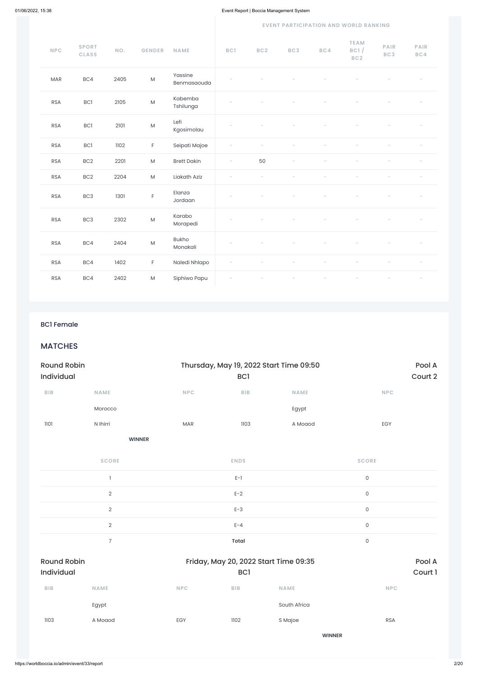|  |  |  | <b>EVENT PARTICIPATION AND WORLD RANKING</b> |
|--|--|--|----------------------------------------------|
|--|--|--|----------------------------------------------|

| <b>NPC</b> | <b>SPORT</b><br><b>CLASS</b> | NO.  | <b>GENDER</b>                                                                                              | <b>NAME</b>              | BC1                      | BC2 | BC3 | BC4 | <b>TEAM</b><br>BC1/<br>BC <sub>2</sub> | <b>PAIR</b><br>BC3 | <b>PAIR</b><br>BC4 |
|------------|------------------------------|------|------------------------------------------------------------------------------------------------------------|--------------------------|--------------------------|-----|-----|-----|----------------------------------------|--------------------|--------------------|
| <b>MAR</b> | BC4                          | 2405 | ${\sf M}$                                                                                                  | Yassine<br>Benmasaouda   |                          |     |     |     |                                        |                    |                    |
| <b>RSA</b> | BC1                          | 2105 | $\mathsf{M}% _{T}=\mathsf{M}_{T}\!\left( a,b\right) ,\ \mathsf{M}_{T}=\mathsf{M}_{T}\!\left( a,b\right) ,$ | Kabemba<br>Tshilunga     |                          |     |     |     |                                        |                    |                    |
| <b>RSA</b> | <b>BC1</b>                   | 2101 | ${\sf M}$                                                                                                  | Lefi<br>Kgosimolau       |                          |     |     |     |                                        |                    |                    |
| <b>RSA</b> | <b>BC1</b>                   | 1102 | $\mathsf F$                                                                                                | Seipati Majoe            |                          |     |     |     |                                        |                    |                    |
| <b>RSA</b> | BC <sub>2</sub>              | 2201 | $\mathsf{M}% _{T}=\mathsf{M}_{T}\!\left( a,b\right) ,\ \mathsf{M}_{T}=\mathsf{M}_{T}\!\left( a,b\right) ,$ | <b>Brett Dakin</b>       | $\overline{\phantom{a}}$ | 50  |     |     |                                        |                    |                    |
| <b>RSA</b> | BC <sub>2</sub>              | 2204 | ${\sf M}$                                                                                                  | Liakath Aziz             |                          |     |     |     |                                        |                    |                    |
| <b>RSA</b> | BC <sub>3</sub>              | 1301 | $\mathsf F$                                                                                                | Elanza<br>Jordaan        |                          |     |     |     |                                        |                    |                    |
| <b>RSA</b> | BC3                          | 2302 | ${\sf M}$                                                                                                  | Karabo<br>Morapedi       |                          |     |     |     |                                        |                    |                    |
| <b>RSA</b> | BC4                          | 2404 | ${\sf M}$                                                                                                  | <b>Bukho</b><br>Monakali |                          |     |     |     |                                        |                    |                    |
| <b>RSA</b> | BC4                          | 1402 | F                                                                                                          | Naledi Nhlapo            |                          |     |     |     |                                        |                    |                    |
| <b>RSA</b> | BC4                          | 2402 | ${\sf M}$                                                                                                  | Siphiwo Papu             |                          |     |     |     |                                        |                    |                    |

### BC1 Female

# **MATCHES**

| <b>Round Robin</b><br>Individual |               |            | Thursday, May 19, 2022 Start Time 09:50<br>BC <sub>1</sub> |             | Pool A<br>Court 2 |
|----------------------------------|---------------|------------|------------------------------------------------------------|-------------|-------------------|
| <b>BIB</b>                       | <b>NAME</b>   | <b>NPC</b> | <b>BIB</b>                                                 | <b>NAME</b> | <b>NPC</b>        |
|                                  | Morocco       |            |                                                            | Egypt       |                   |
| 1101                             | N Ihirri      | <b>MAR</b> | 1103                                                       | A Moaod     | EGY               |
|                                  | <b>WINNER</b> |            |                                                            |             |                   |
|                                  | <b>SCORE</b>  |            | <b>ENDS</b>                                                |             | <b>SCORE</b>      |
|                                  |               |            | $E-1$                                                      |             | 0                 |
|                                  |               |            |                                                            |             |                   |

2 and  $E-2$  and  $E-2$  and  $E-2$  and  $E-2$  and  $E-2$  and  $E-2$  and  $E-2$  and  $E-2$  and  $E-2$  and  $E-2$  and  $E-2$  and  $E-2$  and  $E-2$  and  $E-2$  and  $E-2$  and  $E-2$  and  $E-2$  and  $E-2$  and  $E-2$  and  $E-2$  and  $E-2$  and  $E-2$ 

|                                  | 2              |            | $E-3$   |                                       | 0                   |                   |
|----------------------------------|----------------|------------|---------|---------------------------------------|---------------------|-------------------|
|                                  | $\overline{2}$ |            | $E - 4$ |                                       | $\mathsf{O}\xspace$ |                   |
|                                  | $\overline{7}$ |            | Total   |                                       | $\mathsf{O}\xspace$ |                   |
| <b>Round Robin</b><br>Individual |                |            | BC1     | Friday, May 20, 2022 Start Time 09:35 |                     | Pool A<br>Court 1 |
| BIB                              | <b>NAME</b>    | <b>NPC</b> | BIB     | <b>NAME</b>                           | <b>NPC</b>          |                   |
|                                  | Egypt          |            |         | South Africa                          |                     |                   |
| 1103                             | A Moaod        | EGY        | 1102    | S Majoe                               | <b>RSA</b>          |                   |
|                                  |                |            |         | <b>WINNER</b>                         |                     |                   |
|                                  |                |            |         |                                       |                     |                   |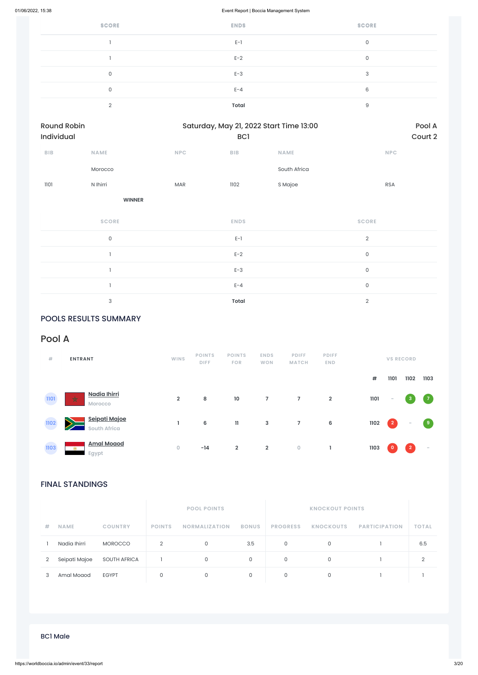| <b>SCORE</b> | <b>ENDS</b>  | <b>SCORE</b> |
|--------------|--------------|--------------|
|              | $E-1$        | 0            |
|              | $E-2$        | 0            |
| $\Omega$     | $E-3$        | 3            |
| $\Omega$     | $E - 4$      | 6            |
| $\Omega$     | <b>Total</b> | 9            |

| Round Robin<br>Individual |                     |     | BC <sub>1</sub> | Saturday, May 21, 2022 Start Time 13:00 |                | Pool A<br>Court 2 |
|---------------------------|---------------------|-----|-----------------|-----------------------------------------|----------------|-------------------|
| ${\sf B}{\sf I}{\sf B}$   | <b>NAME</b>         | NPC | <b>BIB</b>      | <b>NAME</b>                             | <b>NPC</b>     |                   |
|                           | Morocco             |     |                 | South Africa                            |                |                   |
| 1101                      | N Ihirri            | MAR | 1102            | S Majoe                                 | <b>RSA</b>     |                   |
|                           | <b>WINNER</b>       |     |                 |                                         |                |                   |
|                           | <b>SCORE</b>        |     | <b>ENDS</b>     |                                         | <b>SCORE</b>   |                   |
|                           | $\mathsf{O}\xspace$ |     | $E-1$           |                                         | $\overline{2}$ |                   |
|                           |                     |     | $E-2$           |                                         | $\mathsf O$    |                   |
|                           | J.                  |     | $E-3$           |                                         | $\mathsf O$    |                   |
|                           | ı                   |     | $E - 4$         |                                         | $\mathsf O$    |                   |
|                           | 3                   |     | Total           |                                         | $\overline{2}$ |                   |

# POOLS RESULTS SUMMARY

# FINAL STANDINGS

|   |               |                     |               | <b>FUUL FUINTS</b>   |              |                 | NNUUNUUT FUINTS  |                      |              |
|---|---------------|---------------------|---------------|----------------------|--------------|-----------------|------------------|----------------------|--------------|
| # | <b>NAME</b>   | <b>COUNTRY</b>      | <b>POINTS</b> | <b>NORMALIZATION</b> | <b>BONUS</b> | <b>PROGRESS</b> | <b>KNOCKOUTS</b> | <b>PARTICIPATION</b> | <b>TOTAL</b> |
|   | Nadia Ihirri  | <b>MOROCCO</b>      | 2             | $\Omega$             | 3.5          | 0               |                  |                      | 6.5          |
| 2 | Seipati Majoe | <b>SOUTH AFRICA</b> |               | $\mathbf{0}$         | $\mathbf{0}$ | 0               | $\mathbf{0}$     |                      | റ            |
|   | Amal Moaod    | <b>EGYPT</b>        |               |                      |              |                 |                  |                      |              |

# Pool A

| #    | <b>ENTRANT</b>                                            | <b>WINS</b>    | <b>POINTS</b><br><b>DIFF</b> | <b>POINTS</b><br><b>FOR</b> | <b>ENDS</b><br><b>WON</b> | <b>PDIFF</b><br><b>MATCH</b> | <b>PDIFF</b><br><b>END</b> |      |             | <b>VS RECORD</b> |                |
|------|-----------------------------------------------------------|----------------|------------------------------|-----------------------------|---------------------------|------------------------------|----------------------------|------|-------------|------------------|----------------|
|      |                                                           |                |                              |                             |                           |                              |                            | $\#$ | 1101        | 1102             | 1103           |
| 1101 | Nadia Ihirri<br>$\frac{1}{\mathcal{K}}$<br><b>Morocco</b> | $\overline{2}$ | 8                            | 10                          | $\overline{7}$            | $\overline{7}$               | $\overline{2}$             | 1101 | $\sim$      | $\mathbf{3}$     | $\overline{7}$ |
| 1102 | Seipati Majoe<br>$\geq$<br><b>South Africa</b>            |                | 6                            | $\mathbf{11}$               | $\mathbf{3}$              | $\overline{7}$               | $6\phantom{1}$             | 1102 | $\boxed{2}$ | $\sim$           | $\overline{9}$ |
| 1103 | <b>Amal Moaod</b><br><b>PH</b><br>Egypt                   | $\circ$        | $-14$                        | $\overline{2}$              | $\overline{2}$            | $\bullet$                    |                            | 1103 | $\circ$     | $\overline{2}$   | $\sim$         |

### BC1 Male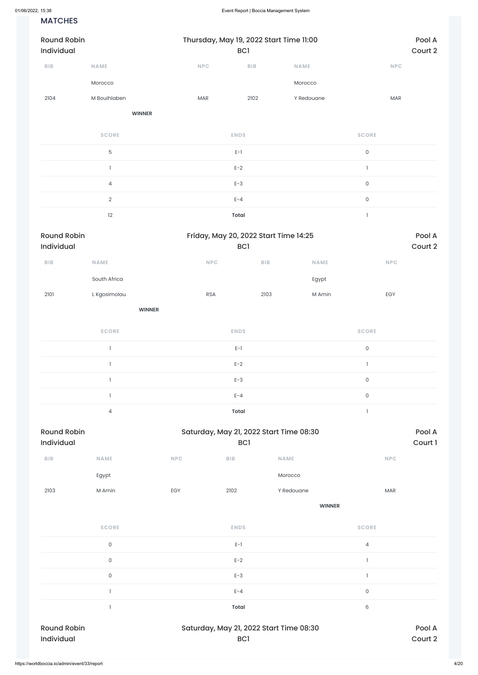### **MATCHES**

| <b>Round Robin</b><br>Individual |                | Thursday, May 19, 2022 Start Time 11:00 | BC <sub>1</sub> |             | Pool A<br>Court 2   |
|----------------------------------|----------------|-----------------------------------------|-----------------|-------------|---------------------|
| BIB                              | <b>NAME</b>    | NPC                                     | BIB             | <b>NAME</b> | <b>NPC</b>          |
|                                  | Morocco        |                                         |                 | Morocco     |                     |
| 2104                             | M Bouihlaben   | <b>MAR</b>                              | 2102            | Y Redouane  | MAR                 |
|                                  | <b>WINNER</b>  |                                         |                 |             |                     |
|                                  | <b>SCORE</b>   |                                         | <b>ENDS</b>     |             | <b>SCORE</b>        |
|                                  | 5              |                                         | $E-1$           |             | $\mathsf{O}$        |
|                                  |                |                                         | $E-2$           |             | 1                   |
|                                  | $\overline{4}$ |                                         | $E-3$           |             | $\mathsf{O}\xspace$ |
|                                  | $\overline{2}$ |                                         | $E - 4$         |             | $\mathsf{O}\xspace$ |
|                                  | 12             |                                         | Total           |             | $\mathbf{I}$        |

| <b>Round Robin</b>      |                |                                         | Friday, May 20, 2022 Start Time 14:25 |        |                     |         |  |  |
|-------------------------|----------------|-----------------------------------------|---------------------------------------|--------|---------------------|---------|--|--|
| Individual              |                |                                         | BC <sub>1</sub>                       |        |                     | Court 2 |  |  |
| ${\sf B}{\sf I}{\sf B}$ | <b>NAME</b>    | <b>NPC</b>                              | <b>BIB</b>                            |        |                     |         |  |  |
|                         | South Africa   |                                         |                                       | Egypt  |                     |         |  |  |
| 2101                    | L Kgosimolau   | <b>RSA</b>                              | 2103                                  | M Amin | EGY                 |         |  |  |
|                         |                | <b>WINNER</b>                           |                                       |        |                     |         |  |  |
|                         | <b>SCORE</b>   | <b>ENDS</b>                             |                                       |        | <b>SCORE</b>        |         |  |  |
|                         | $\mathbf{1}$   | $E-1$                                   |                                       |        | $\mathsf{O}\xspace$ |         |  |  |
|                         | $\mathbf{1}$   | $E-2$                                   |                                       |        |                     |         |  |  |
|                         | 1              | $E-3$                                   |                                       |        | 0                   |         |  |  |
|                         | $\mathbf{I}$   | $E - 4$                                 |                                       |        | $\mathsf{O}\xspace$ |         |  |  |
|                         | $\overline{4}$ | <b>Total</b>                            |                                       |        |                     |         |  |  |
| <b>Round Robin</b>      |                | Saturday, May 21, 2022 Start Time 08:30 |                                       |        |                     | Pool A  |  |  |
| Individual              |                |                                         | BC <sub>1</sub>                       |        |                     | Court 1 |  |  |

| <b>BIB</b> | <b>NAME</b> | <b>NPC</b> | <b>BIB</b> | <b>NAME</b> | <b>NPC</b> |
|------------|-------------|------------|------------|-------------|------------|
|            | Egypt       |            |            | Morocco     |            |
| 2103       | M Amin      | EGY        | 2102       | Y Redouane  | <b>MAR</b> |

**WINNER**

| <b>SCORE</b>       | <b>ENDS</b>                             | <b>SCORE</b> |
|--------------------|-----------------------------------------|--------------|
| 0                  | $E-1$                                   | 4            |
| $\overline{0}$     | $E-2$                                   |              |
| $\mathbf 0$        | $E-3$                                   |              |
|                    | $E - 4$                                 | 0            |
|                    | <b>Total</b>                            | 6            |
| <b>Round Robin</b> | Saturday, May 21, 2022 Start Time 08:30 | Pool A       |
| Individual         | <b>BC1</b>                              | Court 2      |
|                    |                                         |              |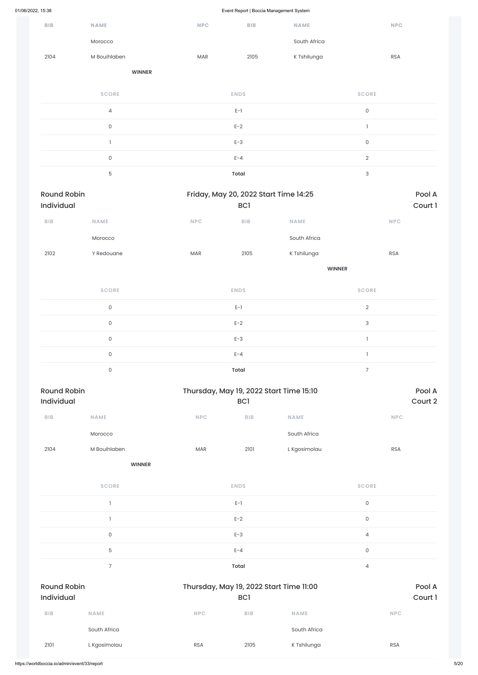|                                  |                     |            |                                                            | $\sim$        |                           |            |                   |
|----------------------------------|---------------------|------------|------------------------------------------------------------|---------------|---------------------------|------------|-------------------|
| BIB                              | <b>NAME</b>         | <b>NPC</b> | <b>BIB</b>                                                 | <b>NAME</b>   |                           | <b>NPC</b> |                   |
|                                  | Morocco             |            |                                                            | South Africa  |                           |            |                   |
| 2104                             | M Bouihlaben        | MAR        | 2105                                                       | K Tshilunga   |                           | <b>RSA</b> |                   |
|                                  | <b>WINNER</b>       |            |                                                            |               |                           |            |                   |
|                                  | <b>SCORE</b>        |            | <b>ENDS</b>                                                |               | <b>SCORE</b>              |            |                   |
|                                  | $\overline{4}$      |            | $E-1$                                                      |               | $\mathsf{O}\xspace$       |            |                   |
|                                  | $\mathsf O$         |            | $E-2$                                                      |               | $\mathbf{I}$              |            |                   |
|                                  | $\mathbf{I}$        |            | $E-3$                                                      |               | $\mathsf{O}\xspace$       |            |                   |
|                                  | $\mathsf{O}$        |            | $E - 4$                                                    |               | $\sqrt{2}$                |            |                   |
|                                  | 5                   |            | <b>Total</b>                                               |               | $\ensuremath{\mathsf{3}}$ |            |                   |
| <b>Round Robin</b><br>Individual |                     |            | Friday, May 20, 2022 Start Time 14:25<br><b>BC1</b>        |               |                           |            | Pool A<br>Court 1 |
| BIB                              | NAME                | <b>NPC</b> | BIB                                                        | NAME          |                           | <b>NPC</b> |                   |
|                                  | Morocco             |            |                                                            | South Africa  |                           |            |                   |
| 2102                             | Y Redouane          | MAR        | 2105                                                       | K Tshilunga   |                           | <b>RSA</b> |                   |
|                                  |                     |            |                                                            | <b>WINNER</b> |                           |            |                   |
|                                  | <b>SCORE</b>        |            | <b>ENDS</b>                                                |               | <b>SCORE</b>              |            |                   |
|                                  | $\mathsf{O}$        |            | $E-1$                                                      |               | $\sqrt{2}$                |            |                   |
|                                  | $\mathsf{O}$        |            | $E-2$                                                      |               | $\ensuremath{\mathsf{3}}$ |            |                   |
|                                  | $\mathsf O$         |            | $E-3$                                                      |               | $\mathbf{1}$              |            |                   |
|                                  | $\mathsf O$         |            | $E - 4$                                                    |               | $\mathbf{1}$              |            |                   |
|                                  | $\mathsf{O}\xspace$ |            | <b>Total</b>                                               |               | $\overline{7}$            |            |                   |
| <b>Round Robin</b><br>Individual |                     |            | Thursday, May 19, 2022 Start Time 15:10<br>BC <sub>1</sub> |               |                           |            | Pool A<br>Court 2 |
| BIB                              | <b>NAME</b>         | NPC        | ${\sf B}{\sf I}{\sf B}$                                    | NAME          |                           | <b>NPC</b> |                   |
|                                  | Morocco             |            |                                                            | South Africa  |                           |            |                   |
| 2104                             | M Bouihlaben        | MAR        | 2101                                                       | L Kgosimolau  |                           | <b>RSA</b> |                   |
|                                  | <b>WINNER</b>       |            |                                                            |               |                           |            |                   |
|                                  | <b>SCORE</b>        |            | <b>ENDS</b>                                                |               | <b>SCORE</b>              |            |                   |
|                                  |                     |            |                                                            |               |                           |            |                   |

 $E-1$  0

|                                  |                |            | $E-2$                                                      |              | $\mathsf{O}\xspace$ |                   |
|----------------------------------|----------------|------------|------------------------------------------------------------|--------------|---------------------|-------------------|
|                                  | $\mathsf{O}$   |            | $E-3$                                                      |              | $\overline{4}$      |                   |
|                                  | $\mathbf 5$    |            | $E - 4$                                                    |              | $\mathsf{O}\xspace$ |                   |
|                                  | $\overline{7}$ |            | Total                                                      |              | $\overline{4}$      |                   |
| <b>Round Robin</b><br>Individual |                |            | Thursday, May 19, 2022 Start Time 11:00<br>BC <sub>1</sub> |              |                     | Pool A<br>Court 1 |
| <b>BIB</b>                       | <b>NAME</b>    | <b>NPC</b> | <b>BIB</b>                                                 | <b>NAME</b>  |                     | <b>NPC</b>        |
|                                  | South Africa   |            |                                                            | South Africa |                     |                   |
| 2101                             | L Kgosimolau   | <b>RSA</b> | 2105                                                       | K Tshilunga  |                     | <b>RSA</b>        |
|                                  |                |            |                                                            |              |                     |                   |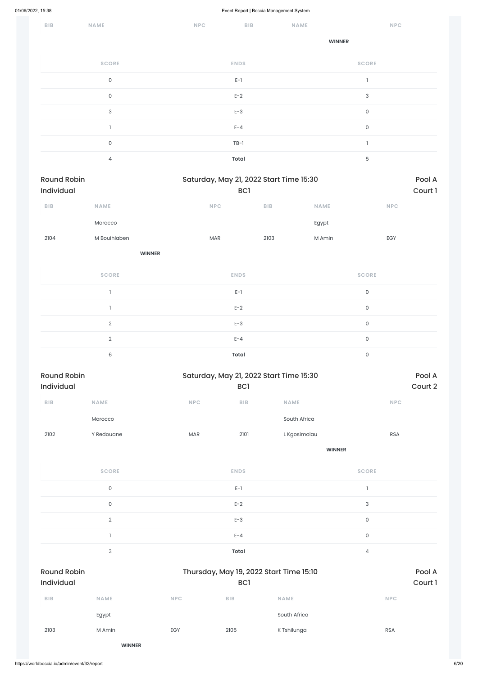| BIB                              | NAME                | <b>NPC</b>                              | <b>BIB</b>   |      | <b>NAME</b>  |                           | <b>NPC</b> |                   |
|----------------------------------|---------------------|-----------------------------------------|--------------|------|--------------|---------------------------|------------|-------------------|
|                                  |                     |                                         |              |      |              | <b>WINNER</b>             |            |                   |
|                                  | <b>SCORE</b>        |                                         | <b>ENDS</b>  |      |              | <b>SCORE</b>              |            |                   |
|                                  | $\mathsf{O}\xspace$ |                                         | $E-1$        |      |              | $\mathbf{1}$              |            |                   |
|                                  | $\mathsf{O}$        |                                         | $E-2$        |      |              | $\ensuremath{\mathsf{3}}$ |            |                   |
|                                  | $\sqrt{3}$          |                                         | $E-3$        |      |              | $\mathsf{O}\xspace$       |            |                   |
|                                  | $\mathbf{I}$        |                                         | $E - 4$      |      |              | $\mathsf{O}\xspace$       |            |                   |
|                                  | $\mathsf{O}\xspace$ |                                         | $TB-1$       |      |              | $\mathbf{1}$              |            |                   |
|                                  | $\overline{4}$      |                                         | <b>Total</b> |      |              | $\mathbf 5$               |            |                   |
| <b>Round Robin</b><br>Individual |                     | Saturday, May 21, 2022 Start Time 15:30 | <b>BC1</b>   |      |              |                           |            |                   |
| ${\sf B}{\sf I}{\sf B}$          | NAME                | NPC                                     |              | BIB  | NAME         |                           | <b>NPC</b> |                   |
|                                  | Morocco             |                                         |              |      | Egypt        |                           |            |                   |
| 2104                             | M Bouihlaben        | MAR                                     |              | 2103 | M Amin       |                           | EGY        |                   |
|                                  | <b>WINNER</b>       |                                         |              |      |              |                           |            |                   |
|                                  | <b>SCORE</b>        |                                         | <b>ENDS</b>  |      |              | <b>SCORE</b>              |            |                   |
|                                  | $\mathbf{I}$        |                                         | $E-1$        |      |              | $\mathsf{O}\xspace$       |            |                   |
|                                  | $\mathbf{I}$        |                                         | $E-2$        |      |              | $\mathsf{O}\xspace$       |            |                   |
|                                  | $\overline{2}$      |                                         | $E-3$        |      |              | $\mathsf{O}\xspace$       |            |                   |
|                                  | $\overline{2}$      |                                         | $E - 4$      |      |              | $\mathsf{O}\xspace$       |            |                   |
|                                  | $\,6\,$             |                                         | <b>Total</b> |      |              | $\mathsf{O}\xspace$       |            |                   |
| <b>Round Robin</b><br>Individual |                     | Saturday, May 21, 2022 Start Time 15:30 | BC1          |      |              |                           |            | Pool A<br>Court 2 |
| <b>BIB</b>                       | NAME                | NPC                                     | BIB          | NAME |              |                           | NPC        |                   |
|                                  | Morocco             |                                         |              |      | South Africa |                           |            |                   |
| 2102                             | Y Redouane          | $\sf{MAR}$                              | 2101         |      | L Kgosimolau |                           | <b>RSA</b> |                   |
|                                  |                     |                                         |              |      |              | <b>WINNER</b>             |            |                   |
|                                  | <b>SCORE</b>        |                                         | <b>ENDS</b>  |      |              | <b>SCORE</b>              |            |                   |
|                                  | $\mathsf{O}\xspace$ |                                         | $E-1$        |      |              | $\mathbf{l}$              |            |                   |

|                                  | $\overline{2}$            |            | $E-3$                                          |              | $\mathsf O$       |  |
|----------------------------------|---------------------------|------------|------------------------------------------------|--------------|-------------------|--|
|                                  | ľ                         |            | $E - 4$                                        |              | $\mathsf{O}$      |  |
|                                  | $\ensuremath{\mathsf{3}}$ |            | Total                                          |              | 4                 |  |
| <b>Round Robin</b><br>Individual |                           |            | Thursday, May 19, 2022 Start Time 15:10<br>BC1 |              | Pool A<br>Court 1 |  |
| <b>BIB</b>                       | <b>NAME</b>               | <b>NPC</b> | <b>BIB</b>                                     | <b>NAME</b>  | <b>NPC</b>        |  |
|                                  | Egypt                     |            |                                                | South Africa |                   |  |
| 2103                             | M Amin                    | EGY        | 2105                                           | K Tshilunga  | <b>RSA</b>        |  |
|                                  | <b>WINNER</b>             |            |                                                |              |                   |  |
|                                  |                           |            |                                                |              |                   |  |

0 and  $E-2$  and  $E-2$  and  $E-2$  and  $E-2$  and  $E-2$  and  $E-2$  and  $E-2$  and  $E-2$  and  $E-2$  and  $E-2$  and  $E-2$  and  $E-2$  and  $E-2$  and  $E-2$  and  $E-2$  and  $E-2$  and  $E-2$  and  $E-2$  and  $E-2$  and  $E-2$  and  $E-2$  and  $E-2$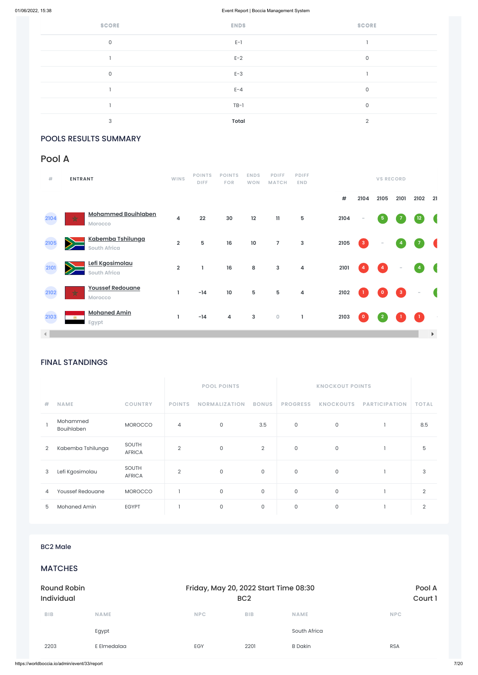| <b>SCORE</b> | <b>ENDS</b>  | <b>SCORE</b> |
|--------------|--------------|--------------|
| $\mathbf 0$  | $E-1$        |              |
|              | $E-2$        | 0            |
| $\mathbf 0$  | $E-3$        |              |
|              | $E - 4$      | 0            |
|              | $TB-1$       | 0            |
| 3            | <b>Total</b> | $\Omega$     |

# POOLS RESULTS SUMMARY

# FINAL STANDINGS

|                |                        |                               |                | <b>POOL POINTS</b>   |                | <b>KNOCKOUT POINTS</b> |                  |                      |              |
|----------------|------------------------|-------------------------------|----------------|----------------------|----------------|------------------------|------------------|----------------------|--------------|
| #              | <b>NAME</b>            | <b>COUNTRY</b>                | <b>POINTS</b>  | <b>NORMALIZATION</b> | <b>BONUS</b>   | <b>PROGRESS</b>        | <b>KNOCKOUTS</b> | <b>PARTICIPATION</b> | <b>TOTAL</b> |
|                | Mohammed<br>Bouihlaben | <b>MOROCCO</b>                | 4              | 0                    | 3.5            | 0                      | $\mathbf 0$      |                      | 8.5          |
| 2              | Kabemba Tshilunga      | <b>SOUTH</b><br><b>AFRICA</b> | $\overline{2}$ | $\mathbf 0$          | $\overline{2}$ | 0                      | $\mathbf 0$      |                      | 5            |
| 3              | Lefi Kgosimolau        | <b>SOUTH</b><br><b>AFRICA</b> | $\overline{2}$ | 0                    | $\mathbf{0}$   | 0                      | 0                |                      | 3            |
| $\overline{4}$ | Youssef Redouane       | <b>MOROCCO</b>                |                | 0                    | 0              | 0                      | $\mathbf 0$      |                      | 2            |
| 5              | Mohaned Amin           | <b>EGYPT</b>                  |                | 0                    | 0              | 0                      | $\mathbf 0$      |                      | 2            |

| <b>BC2 Male</b>                              |             |                                       |                   |                |            |
|----------------------------------------------|-------------|---------------------------------------|-------------------|----------------|------------|
| <b>MATCHES</b>                               |             |                                       |                   |                |            |
| <b>Round Robin</b><br><b>Individual</b>      |             | Friday, May 20, 2022 Start Time 08:30 | Pool A<br>Court 1 |                |            |
| BIB                                          | <b>NAME</b> | <b>NPC</b>                            | <b>BIB</b>        | <b>NAME</b>    | <b>NPC</b> |
|                                              | Egypt       |                                       |                   | South Africa   |            |
| 2203                                         | E Elmedalaa | EGY                                   | 2201              | <b>B</b> Dakin | <b>RSA</b> |
| https://worldboccia.io/admin/event/33/report |             |                                       |                   |                |            |

| #                    | <b>ENTRANT</b>                                       | <b>WINS</b>             | <b>POINTS</b><br><b>DIFF</b> | <b>POINTS</b><br><b>FOR</b> | <b>ENDS</b><br><b>WON</b> | <b>PDIFF</b><br><b>MATCH</b> | <b>PDIFF</b><br><b>END</b> |            |                | <b>VS RECORD</b> |                |                          |                         |
|----------------------|------------------------------------------------------|-------------------------|------------------------------|-----------------------------|---------------------------|------------------------------|----------------------------|------------|----------------|------------------|----------------|--------------------------|-------------------------|
|                      |                                                      |                         |                              |                             |                           |                              |                            | $\pmb{\#}$ | 2104           | 2105             | 2101           | 2102                     | 21                      |
| 2104                 | <b>Mohammed Bouihlaben</b><br>$\star$<br>Morocco     | 4                       | 22                           | 30                          | 12                        | $\mathbf{11}$                | 5                          | 2104       | $\sim$         | ${\bf 5}$        | 7              | $12$                     |                         |
| 2105                 | Kabemba Tshilunga<br><b>South Africa</b>             | $\mathbf 2$             | 5                            | 16                          | $10\,$                    | $\overline{7}$               | $\mathbf{3}$               | 2105       | $\mathbf{3}$   | $\sim$           | $\overline{4}$ | 7                        |                         |
| 2101                 | Lefi Kgosimolau<br><b>South Africa</b>               | $\overline{\mathbf{2}}$ | L                            | 16                          | 8                         | $\mathbf{3}$                 | 4                          | 2101       | $\overline{4}$ | $\overline{4}$   | $\sim$         | $\overline{a}$           | G                       |
| 2102                 | <b>Youssef Redouane</b><br>$\star$<br><b>Morocco</b> | ı                       | $-14$                        | $10\,$                      | $5\phantom{.0}$           | $5\phantom{.0}$              | 4                          | 2102       | -1             | $\mathbf{0}$     | $\mathbf{3}$   | $\overline{\phantom{a}}$ | $\overline{\mathbb{C}}$ |
| 2103                 | <b>Mohaned Amin</b><br>18.<br>Egypt                  | L                       | $-14$                        | 4                           | $\mathbf{3}$              | $\mathsf O$                  | 1                          | 2103       | $\circ$        | $\overline{2}$   |                | $\blacksquare$           |                         |
| $\blacktriangleleft$ |                                                      |                         |                              |                             |                           |                              |                            |            |                |                  |                |                          | $\blacktriangleright$   |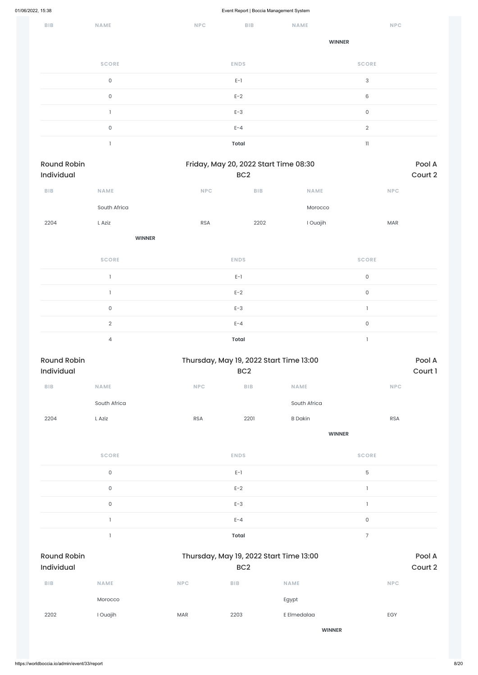| BIB | NAME                | <b>NPC</b> | ${\sf BIB}$  | NAME | <b>NPC</b>               |
|-----|---------------------|------------|--------------|------|--------------------------|
|     |                     |            |              |      | <b>WINNER</b>            |
|     | <b>SCORE</b>        |            | <b>ENDS</b>  |      | <b>SCORE</b>             |
|     | $\mathsf{O}$        |            | $E-1$        |      | $\sqrt{3}$               |
|     | $\mathsf{O}$        |            | $E-2$        |      | $\,6\,$                  |
|     |                     |            | $E-3$        |      | $\mathsf O$              |
|     | $\mathsf{O}\xspace$ |            | $E - 4$      |      | $\sqrt{2}$               |
|     |                     |            | <b>Total</b> |      | $\ensuremath{\text{11}}$ |
|     |                     |            |              |      |                          |

| <b>Round Robin</b><br>Individual |                                         | Friday, May 20, 2022 Start Time 08:30<br>BC <sub>2</sub> |      |             |                     | Pool A<br>Court 2 |  |  |
|----------------------------------|-----------------------------------------|----------------------------------------------------------|------|-------------|---------------------|-------------------|--|--|
| BIB                              | <b>NAME</b>                             | <b>NPC</b>                                               | BIB  | <b>NAME</b> | <b>NPC</b>          |                   |  |  |
|                                  | South Africa                            |                                                          |      | Morocco     |                     |                   |  |  |
| 2204                             | L Aziz                                  | <b>RSA</b>                                               | 2202 | I Ouajih    | <b>MAR</b>          |                   |  |  |
|                                  | <b>WINNER</b>                           |                                                          |      |             |                     |                   |  |  |
|                                  | <b>SCORE</b>                            | <b>ENDS</b>                                              |      |             | <b>SCORE</b>        |                   |  |  |
|                                  |                                         | $E-1$                                                    |      |             | $\mathsf{O}\xspace$ |                   |  |  |
|                                  | $\mathbf{1}$                            | $E-2$                                                    |      |             | $\mathsf{O}\xspace$ |                   |  |  |
|                                  | $\mathsf{O}\xspace$                     | $E-3$                                                    |      |             | $\mathbf{I}$        |                   |  |  |
|                                  | $\sqrt{2}$                              | $E - 4$                                                  |      |             | $\mathsf{O}\xspace$ |                   |  |  |
|                                  | $\overline{4}$                          | <b>Total</b>                                             |      |             | $\overline{1}$      |                   |  |  |
| <b>Round Robin</b>               | Thursday, May 19, 2022 Start Time 13:00 |                                                          |      |             |                     |                   |  |  |
| Individual                       |                                         | BC <sub>2</sub>                                          |      |             |                     | Court 1           |  |  |

| <b>BIB</b> | <b>NAME</b>  | <b>NPC</b> | <b>BIB</b> | <b>NAME</b>    | <b>NPC</b> |
|------------|--------------|------------|------------|----------------|------------|
|            | South Africa |            |            | South Africa   |            |
| 2204       | ∟ Aziz       | <b>RSA</b> | 2201       | <b>B</b> Dakin | <b>RSA</b> |

**WINNER**

| <b>SCORE</b> | <b>ENDS</b> | <b>SCORE</b> |
|--------------|-------------|--------------|
|              | $E-1$       | h            |
|              | $E-2$       |              |
|              | $E-3$       |              |

|             |            | $E - 4$    |                   | $\mathsf{O}$                            |            |
|-------------|------------|------------|-------------------|-----------------------------------------|------------|
|             |            | Total      |                   | 7                                       |            |
|             |            |            | Pool A<br>Court 2 |                                         |            |
| <b>NAME</b> | <b>NPC</b> | <b>BIB</b> | <b>NAME</b>       |                                         | <b>NPC</b> |
| Morocco     |            |            | Egypt             |                                         |            |
| I Ouajih    | <b>MAR</b> | 2203       | E Elmedalaa       |                                         | EGY        |
|             |            |            | <b>WINNER</b>     |                                         |            |
|             |            |            |                   |                                         |            |
|             |            |            | BC <sub>2</sub>   | Thursday, May 19, 2022 Start Time 13:00 |            |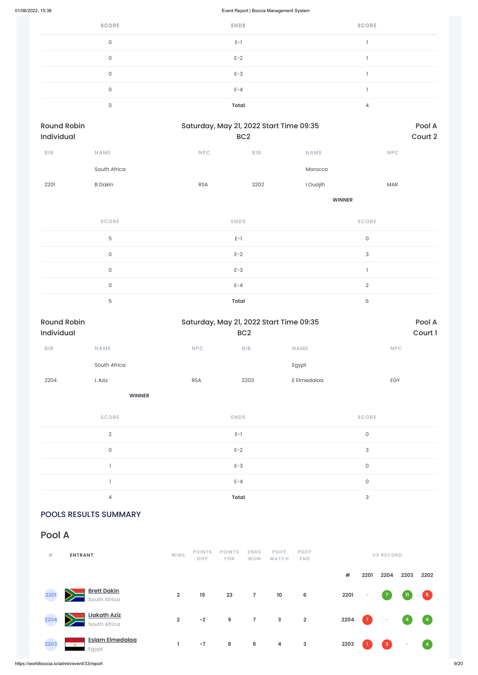https://worldboccia.io/admin/event/33/report 9/20

| <b>SCORE</b> | <b>ENDS</b>  | <b>SCORE</b> |
|--------------|--------------|--------------|
| $\mathbf{0}$ | $E-1$        |              |
| 0            | $E-2$        |              |
| 0            | $E-3$        |              |
| $\Omega$     | $E - 4$      |              |
|              | <b>Total</b> | 4            |

| Round Robin<br>Individual | Saturday, May 21, 2022 Start Time 09:35<br>BC <sub>2</sub> |            |                         |               |                |  |
|---------------------------|------------------------------------------------------------|------------|-------------------------|---------------|----------------|--|
| BIB                       | NAME                                                       | NPC        | ${\sf B}{\sf I}{\sf B}$ | <b>NAME</b>   | <b>NPC</b>     |  |
|                           | South Africa                                               |            |                         | Morocco       |                |  |
| 2201                      | <b>B</b> Dakin                                             | <b>RSA</b> | 2202                    | I Ouajih      | <b>MAR</b>     |  |
|                           |                                                            |            |                         | <b>WINNER</b> |                |  |
|                           | <b>SCORE</b>                                               |            | <b>ENDS</b>             |               | <b>SCORE</b>   |  |
|                           | $\overline{5}$                                             |            | $E-1$                   |               | $\mathsf O$    |  |
|                           | $\mathsf{O}$                                               |            | $E-2$                   |               | $\sqrt{3}$     |  |
|                           | $\mathsf{O}$                                               |            | $E-3$                   |               | $\mathbf{I}$   |  |
|                           | $\mathsf{O}$                                               |            | $E - 4$                 |               | $\overline{2}$ |  |
|                           | $\mathbf 5$                                                |            | Total                   |               | $\mathsf 6$    |  |

| <b>Round Robin</b><br>Individual |                     |            | BC <sub>2</sub>         | Saturday, May 21, 2022 Start Time 09:35 |                     | Pool A<br>Court 1 |
|----------------------------------|---------------------|------------|-------------------------|-----------------------------------------|---------------------|-------------------|
| ${\sf B}{\sf I}{\sf B}$          | <b>NAME</b>         | NPC        | ${\sf B}{\sf I}{\sf B}$ | <b>NAME</b>                             | NPC                 |                   |
|                                  | South Africa        |            |                         | Egypt                                   |                     |                   |
| 2204                             | L Aziz              | <b>RSA</b> | 2203                    | E Elmedalaa                             | EGY                 |                   |
|                                  | <b>WINNER</b>       |            |                         |                                         |                     |                   |
|                                  | <b>SCORE</b>        |            | <b>ENDS</b>             |                                         | <b>SCORE</b>        |                   |
|                                  | $\overline{2}$      |            | $E-1$                   |                                         | $\mathsf{O}\xspace$ |                   |
|                                  | $\mathsf{O}\xspace$ |            | $E-2$                   |                                         | 3                   |                   |
|                                  |                     |            | $E-3$                   |                                         | $\mathsf{O}$        |                   |
|                                  |                     |            | $E - 4$                 |                                         | $\mathsf{O}\xspace$ |                   |
|                                  | 4                   |            | <b>Total</b>            |                                         | 3                   |                   |

# POOLS RESULTS SUMMARY

Pool A

| #    | <b>ENTRANT</b>                               | <b>WINS</b>    | <b>POINTS</b><br><b>DIFF</b> | <b>POINTS</b><br><b>FOR</b> | <b>ENDS</b><br><b>WON</b> | <b>PDIFF</b><br><b>MATCH</b> | <b>PDIFF</b><br>END. | <b>VS RECORD</b> |                          |                   |                          |                                   |
|------|----------------------------------------------|----------------|------------------------------|-----------------------------|---------------------------|------------------------------|----------------------|------------------|--------------------------|-------------------|--------------------------|-----------------------------------|
|      |                                              |                |                              |                             |                           |                              |                      | #                | 2201                     | 2204              | 2203                     | 2202                              |
| 2201 | <b>Brett Dakin</b><br><b>South Africa</b>    | $\overline{2}$ | 15                           | 23                          | 7                         | 10                           | 6                    | 2201             | $\overline{\phantom{a}}$ | $\mathbf{7}$      | $\mathbf{u}$             | $\sqrt{5}$                        |
| 2204 | Liakath Aziz<br><b>South Africa</b>          | $\overline{2}$ | $-2$                         | 9                           | 7                         | $\mathbf{3}$                 | $\overline{2}$       | 2204             | $\blacksquare$           | $\sim$            | $\overline{4}$           | $\begin{pmatrix} 4 \end{pmatrix}$ |
| 2203 | <b>Eslam Elmedalaa</b><br><b>RM</b><br>Egypt | ı.             | $-7$                         | 8                           | 6                         | 4                            | $\mathbf{3}$         | 2203             |                          | $\vert 3 \rangle$ | $\overline{\phantom{a}}$ | $\binom{4}{}$                     |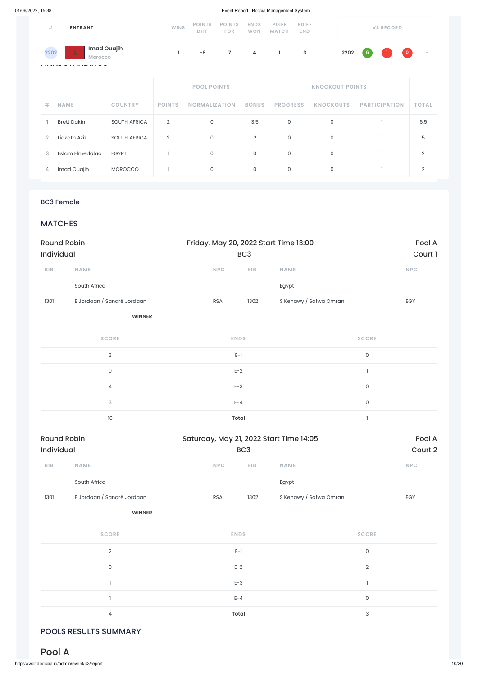| #<br><b>ENTRANT</b>                               |                    |                     | <b>WINS</b>        | <b>POINTS</b><br>DIFF. | <b>POINTS</b><br><b>FOR</b> | <b>ENDS</b><br><b>WON</b> | <b>PDIFF</b><br><b>MATCH</b> | <b>PDIFF</b><br><b>END</b> |                  | <b>VS RECORD</b>     |                |
|---------------------------------------------------|--------------------|---------------------|--------------------|------------------------|-----------------------------|---------------------------|------------------------------|----------------------------|------------------|----------------------|----------------|
| <b>Imad Ouajih</b><br>☆<br>2202<br><b>Morocco</b> |                    |                     | ı                  | $-6$                   | $\overline{7}$              | 4                         | Τ.                           | 3                          | 2202             | $\bullet$<br>6       |                |
|                                                   |                    |                     | <b>POOL POINTS</b> |                        |                             | <b>KNOCKOUT POINTS</b>    |                              |                            |                  |                      |                |
| #                                                 | <b>NAME</b>        | <b>COUNTRY</b>      | <b>POINTS</b>      | <b>NORMALIZATION</b>   |                             | <b>BONUS</b>              | <b>PROGRESS</b>              |                            | <b>KNOCKOUTS</b> | <b>PARTICIPATION</b> | <b>TOTAL</b>   |
|                                                   | <b>Brett Dakin</b> | <b>SOUTH AFRICA</b> | $\overline{2}$     | 0                      |                             | 3.5                       | 0                            |                            | 0                |                      | 6.5            |
| $\overline{2}$                                    | Liakath Aziz       | <b>SOUTH AFRICA</b> | $\overline{2}$     | $\mathsf{O}$           |                             | $\overline{2}$            | 0                            |                            | $\mathbf 0$      |                      | 5              |
| 3                                                 | Eslam Elmedalaa    | <b>EGYPT</b>        |                    | $\mathsf{O}\xspace$    |                             | $\mathsf O$               | 0                            |                            | 0                |                      | $\overline{2}$ |
| 4                                                 | Imad Ouajih        | <b>MOROCCO</b>      |                    | $\mathsf O$            |                             | $\mathsf O$               | 0                            |                            | $\mathsf O$      |                      | $\overline{2}$ |

### BC3 Female

# **MATCHES**

| <b>Round Robin</b>      |                            |                                         | Friday, May 20, 2022 Start Time 13:00 |                                       |            |  |  |
|-------------------------|----------------------------|-----------------------------------------|---------------------------------------|---------------------------------------|------------|--|--|
| Individual              |                            | BC <sub>3</sub>                         |                                       |                                       | Court 1    |  |  |
| ${\sf B}{\sf I}{\sf B}$ | NAME                       | <b>NPC</b><br>BIB                       | <b>NAME</b>                           |                                       | <b>NPC</b> |  |  |
|                         | South Africa               |                                         | Egypt                                 |                                       |            |  |  |
| 1301                    | E Jordaan / Sandré Jordaan | 1302<br><b>RSA</b>                      | S Kenawy / Safwa Omran                |                                       | EGY        |  |  |
|                         | <b>WINNER</b>              |                                         |                                       |                                       |            |  |  |
|                         | <b>SCORE</b>               | <b>ENDS</b>                             |                                       | <b>SCORE</b>                          |            |  |  |
|                         | $\ensuremath{\mathsf{3}}$  | $E-1$                                   |                                       | $\mathsf{O}\xspace$                   |            |  |  |
|                         | $\mathsf{O}$               | $E-2$                                   |                                       | $\mathbf{1}$                          |            |  |  |
|                         | $\overline{4}$             | $E-3$                                   |                                       | 0                                     |            |  |  |
|                         | $\ensuremath{\mathsf{3}}$  | $E - 4$                                 |                                       | 0                                     |            |  |  |
|                         | $10$                       | <b>Total</b>                            |                                       | $\begin{array}{c} \hline \end{array}$ |            |  |  |
| <b>Round Robin</b>      |                            | Saturday, May 21, 2022 Start Time 14:05 |                                       |                                       | Pool A     |  |  |
| Individual              |                            | BC <sub>3</sub>                         |                                       |                                       | Court 2    |  |  |
| BIB                     | NAME                       | <b>NPC</b><br>BIB                       | <b>NAME</b>                           |                                       | <b>NPC</b> |  |  |
|                         | South Africa               |                                         | Egypt                                 |                                       |            |  |  |

| 1301 | E Jordaan / Sandré Jordaan | RSA | 1302 | S Kenawy / Safwa Omran | <b>FOV</b> |
|------|----------------------------|-----|------|------------------------|------------|
|      |                            |     |      |                        |            |

**WINNER**

| <b>SCORE</b>   | <b>ENDS</b> | <b>SCORE</b> |
|----------------|-------------|--------------|
| $\mathcal{D}$  | $E-1$       | 0            |
| $\mathbf{0}$   | $E-2$       | 2            |
|                | $E-3$       |              |
|                | $E - 4$     | 0            |
| $\overline{4}$ | Total       | 3            |

# POOLS RESULTS SUMMARY

# Pool A

https://worldboccia.io/admin/event/33/report 10/20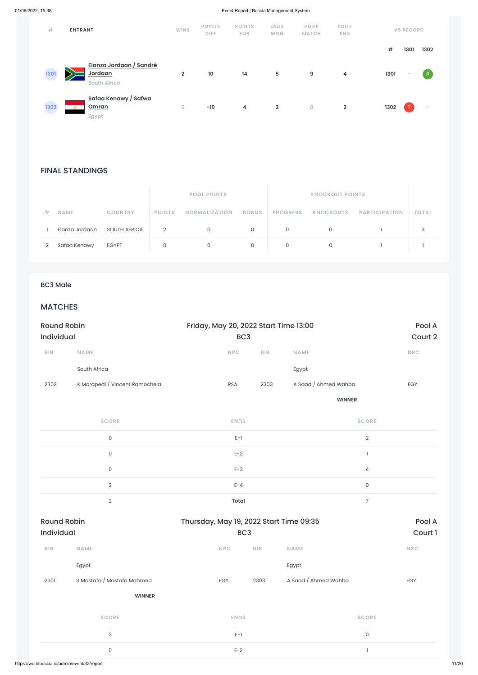### FINAL STANDINGS

|   |                |                |               | <b>POOL POINTS</b>   |              |                 |                         |              |
|---|----------------|----------------|---------------|----------------------|--------------|-----------------|-------------------------|--------------|
| # | <b>NAME</b>    | <b>COUNTRY</b> | <b>POINTS</b> | <b>NORMALIZATION</b> | <b>BONUS</b> | <b>PROGRESS</b> | KNOCKOUTS PARTICIPATION | <b>TOTAL</b> |
|   | Elanza Jordaan | SOUTH AFRICA   | 2             |                      | $\Omega$     | $\Omega$        |                         |              |
|   | Safaa Kenawy   | <b>EGYPT</b>   |               |                      |              | 0               |                         |              |

| #    | <b>ENTRANT</b>                                                     | <b>WINS</b>    | <b>POINTS</b><br><b>DIFF</b> | <b>POINTS</b><br><b>FOR</b> | <b>ENDS</b><br><b>WON</b> | <b>PDIFF</b><br><b>MATCH</b> | <b>PDIFF</b><br><b>END</b> |      | <b>VS RECORD</b> |                |
|------|--------------------------------------------------------------------|----------------|------------------------------|-----------------------------|---------------------------|------------------------------|----------------------------|------|------------------|----------------|
|      |                                                                    |                |                              |                             |                           |                              |                            | $\#$ | 1301             | 1302           |
| 1301 | Elanza Jordaan / Sandré<br>Jordaan<br><b>South Africa</b>          | $\overline{2}$ | 10                           | 14                          | $5\phantom{.0}$           | 9                            | 4                          | 1301 | $\sim$           | $\overline{4}$ |
| 1302 | <u>Safaa Kenawy / Safwa</u><br>Omran<br><b>FSI</b><br><b>Egypt</b> | 0              | $-10$                        | 4                           | $\overline{2}$            | $\overline{0}$               | $\overline{2}$             | 1302 |                  | $\sim$         |

### BC3 Male

# **MATCHES**

| <b>Round Robin</b><br><b>Individual</b> |                                              | Thursday, May 19, 2022 Start Time 09:35 | BC <sub>3</sub> |                      | Pool A<br>Court 1 |
|-----------------------------------------|----------------------------------------------|-----------------------------------------|-----------------|----------------------|-------------------|
| <b>BIB</b>                              | <b>NAME</b>                                  | <b>NPC</b>                              | <b>BIB</b>      | <b>NAME</b>          | <b>NPC</b>        |
|                                         | Egypt                                        |                                         |                 | Egypt                |                   |
| 2301                                    | S Mostafa / Mostafa Mahmed                   | EGY                                     | 2303            | A Saad / Ahmed Wahba | EGY               |
|                                         | <b>WINNER</b>                                |                                         |                 |                      |                   |
|                                         | <b>SCORE</b>                                 | <b>ENDS</b>                             |                 | <b>SCORE</b>         |                   |
|                                         | 3                                            | $E-1$                                   |                 | $\mathsf{O}$         |                   |
| 0                                       |                                              | $E-2$                                   |                 |                      |                   |
|                                         | https://worldboccia.io/admin/event/33/report |                                         |                 |                      |                   |

| <b>Round Robin</b><br>Individual |                                | Friday, May 20, 2022 Start Time 13:00<br>BC <sub>3</sub> |            |                      | Pool A<br>Court 2 |
|----------------------------------|--------------------------------|----------------------------------------------------------|------------|----------------------|-------------------|
| <b>BIB</b>                       | <b>NAME</b>                    | <b>NPC</b>                                               | <b>BIB</b> | <b>NAME</b>          | NPC               |
|                                  | South Africa                   |                                                          |            | Egypt                |                   |
| 2302                             | K Morapedi / Vincent Ramochela | <b>RSA</b>                                               | 2303       | A Saad / Ahmed Wahba | EGY               |
|                                  |                                |                                                          |            | <b>WINNER</b>        |                   |
|                                  | <b>SCORE</b>                   | <b>ENDS</b>                                              |            | <b>SCORE</b>         |                   |
|                                  | $\mathsf{O}$                   | $E-1$                                                    |            | $\sqrt{2}$           |                   |
|                                  | $\mathsf{O}$                   | $E-2$                                                    |            |                      |                   |
|                                  | $\mathsf{O}$                   | $E-3$                                                    |            | $\overline{4}$       |                   |
|                                  | $\mathbf{2}$                   | $E - 4$                                                  |            | $\mathsf{O}$         |                   |
|                                  | $\overline{2}$                 | <b>Total</b>                                             |            | $\overline{7}$       |                   |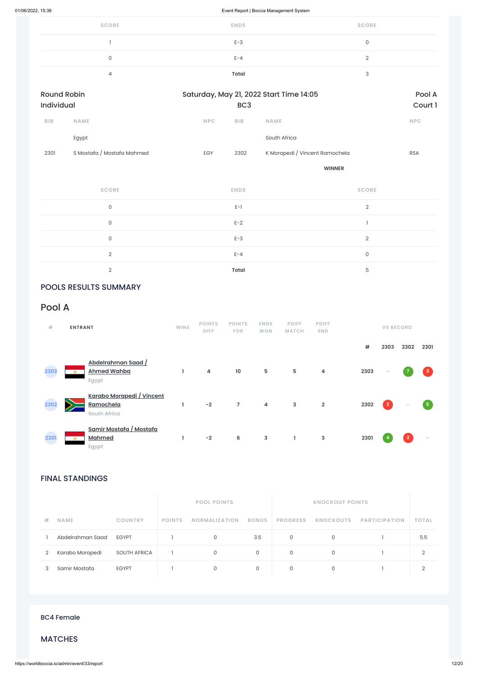| <b>SCORE</b> | <b>ENDS</b> | <b>SCORE</b> |
|--------------|-------------|--------------|
|              | $E-3$       |              |
| 0            | $E - 4$     |              |
|              | Total       |              |

| <b>Round Robin</b><br>Individual |                            |            | Saturday, May 21, 2022 Start Time 14:05<br>BC <sub>3</sub> |                                |            |  |  |  |
|----------------------------------|----------------------------|------------|------------------------------------------------------------|--------------------------------|------------|--|--|--|
| <b>BIB</b>                       | <b>NAME</b>                | <b>NPC</b> | <b>BIB</b>                                                 | <b>NAME</b>                    | <b>NPC</b> |  |  |  |
|                                  | Egypt                      |            |                                                            | South Africa                   |            |  |  |  |
| 2301                             | S Mostafa / Mostafa Mahmed | <b>EGY</b> | 2302                                                       | K Morapedi / Vincent Ramochela | <b>RSA</b> |  |  |  |
|                                  |                            |            |                                                            | <b>WINNER</b>                  |            |  |  |  |

| <b>SCORE</b> | <b>ENDS</b>  | <b>SCORE</b> |
|--------------|--------------|--------------|
| $\Omega$     | $E-1$        | $\Omega$     |
| 0            | $E-2$        |              |
| 0            | $E-3$        | $\Omega$     |
| $\Omega$     | $E - 4$      | $\mathbf 0$  |
| $\cap$       | <b>Total</b> | 5            |

# POOLS RESULTS SUMMARY

# FINAL STANDINGS

| 井 | <b>NAME</b>      | <b>COUNTRY</b>      | <b>POINTS</b> | <b>NORMALIZATION</b> | <b>BONUS</b> | <b>PROGRESS</b> | <b>KNOCKOUTS</b> | <b>PARTICIPATION</b> | <b>TOTAL</b> |
|---|------------------|---------------------|---------------|----------------------|--------------|-----------------|------------------|----------------------|--------------|
|   | Abdelrahman Saad | <b>EGYPT</b>        |               |                      | 3.5          | $\circ$         |                  |                      | 5.5          |
| 2 | Karabo Morapedi  | <b>SOUTH AFRICA</b> |               |                      | 0            | $\circ$         |                  |                      | C.           |
|   | Samir Mostafa    | <b>EGYPT</b>        |               |                      | 0            | 0               |                  |                      |              |

# Pool A

| #    | <b>ENTRANT</b>                                                   | <b>WINS</b> | <b>POINTS</b><br><b>DIFF</b> | <b>POINTS</b><br><b>FOR</b> | <b>ENDS</b><br><b>WON</b> | <b>PDIFF</b><br><b>MATCH</b> | <b>PDIFF</b><br><b>END</b> |      | <b>VS RECORD</b>        |                          |              |
|------|------------------------------------------------------------------|-------------|------------------------------|-----------------------------|---------------------------|------------------------------|----------------------------|------|-------------------------|--------------------------|--------------|
|      |                                                                  |             |                              |                             |                           |                              |                            | #    | 2303                    | 2302                     | 2301         |
| 2303 | Abdelrahman Saad /<br><b>Ahmed Wahba</b><br><b>Post</b><br>Egypt | L           | 4                            | 10                          | $\mathbf 5$               | 5                            | 4                          | 2303 | $\sim$                  |                          | $\mathbf{3}$ |
| 2302 | Karabo Morapedi / Vincent<br>Ramochela<br><b>South Africa</b>    | ı           | $-2$                         | $\overline{7}$              | 4                         | 3                            | $\overline{2}$             | 2302 | $\overline{\mathbf{2}}$ | $\overline{\phantom{a}}$ | 5            |
| 2301 | Samir Mostafa / Mostafa<br><b>Mahmed</b><br><b>POL</b><br>Egypt  | L           | $-2$                         | 6                           | $\mathsf 3$               | $\mathbf{I}$                 | 3                          | 2301 |                         | $\overline{2}$           |              |

BC4 Female

### MATCHES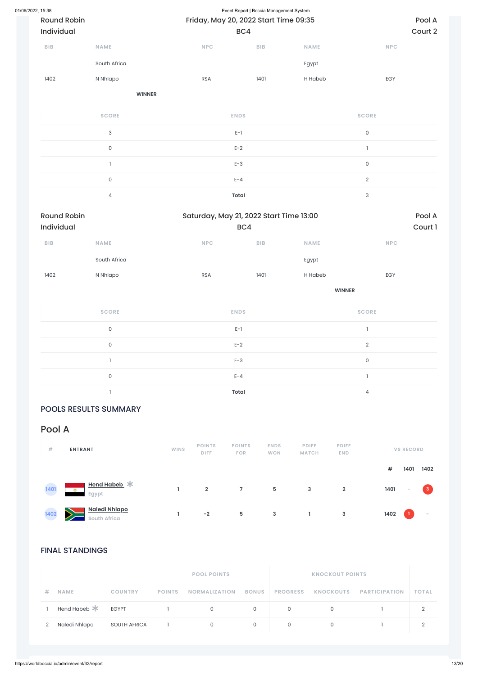| 01/06/2022, 15:38 | <b>Round Robin</b><br>Individual |               |                                | Event Report   Boccia Management System<br>Friday, May 20, 2022 Start Time 09:35<br>BC4 |               |                     |  |  |  |
|-------------------|----------------------------------|---------------|--------------------------------|-----------------------------------------------------------------------------------------|---------------|---------------------|--|--|--|
|                   | <b>BIB</b><br><b>NAME</b>        |               | NPC                            | <b>BIB</b>                                                                              | <b>NAME</b>   | <b>NPC</b>          |  |  |  |
|                   |                                  | South Africa  |                                |                                                                                         | Egypt         |                     |  |  |  |
|                   | 1402                             | N Nhlapo      | <b>RSA</b>                     | 1401                                                                                    | H Habeb       | EGY                 |  |  |  |
|                   |                                  | <b>WINNER</b> |                                |                                                                                         |               |                     |  |  |  |
|                   |                                  | <b>SCORE</b>  | <b>ENDS</b>                    |                                                                                         |               | <b>SCORE</b>        |  |  |  |
|                   | $\ensuremath{\mathsf{3}}$        |               | $\mathsf{E}\text{-}\mathsf{I}$ |                                                                                         |               | $\mathsf{O}$        |  |  |  |
|                   |                                  | $\mathsf{O}$  | $E-2$                          |                                                                                         |               | $\mathbf{I}$        |  |  |  |
|                   | $\mathbf{I}$                     |               | $E-3$                          |                                                                                         |               | $\mathsf{O}\xspace$ |  |  |  |
|                   | $\mathsf{O}$                     |               | $E - 4$                        |                                                                                         |               | $\overline{2}$      |  |  |  |
|                   |                                  | $\sqrt{4}$    | <b>Total</b>                   |                                                                                         |               | $\sqrt{3}$          |  |  |  |
|                   | <b>Round Robin</b><br>Individual |               |                                | Saturday, May 21, 2022 Start Time 13:00<br>BC4                                          |               |                     |  |  |  |
|                   | <b>BIB</b>                       | NAME          | NPC                            | BIB                                                                                     | <b>NAME</b>   | <b>NPC</b>          |  |  |  |
|                   |                                  | South Africa  |                                |                                                                                         | Egypt         |                     |  |  |  |
|                   | 1402                             | N Nhlapo      | ${\sf RSA}$                    | 1401                                                                                    | H Habeb       | EGY                 |  |  |  |
|                   |                                  |               |                                |                                                                                         | <b>WINNER</b> |                     |  |  |  |
|                   |                                  | <b>SCORE</b>  | <b>ENDS</b>                    |                                                                                         |               | <b>SCORE</b>        |  |  |  |
|                   |                                  | $\mathsf{O}$  | $E-1$                          |                                                                                         |               | $\mathbf{1}$        |  |  |  |
|                   | $\mathsf{O}\xspace$              |               | $E-2$                          |                                                                                         |               | $\overline{2}$      |  |  |  |
|                   | $\mathbbm{1}$                    |               | $E-3$                          |                                                                                         |               | $\mathsf{O}$        |  |  |  |
|                   |                                  | $\mathsf{O}$  | $E - 4$                        |                                                                                         |               | $\mathbf{1}$        |  |  |  |
|                   | $\mathbf{I}$                     |               | <b>Total</b>                   |                                                                                         |               | $\overline{4}$      |  |  |  |

# POOLS RESULTS SUMMARY

# FINAL STANDINGS

|   |                |                     | <b>POOL POINTS</b> |                      |              |                 |           |                      |              |
|---|----------------|---------------------|--------------------|----------------------|--------------|-----------------|-----------|----------------------|--------------|
| # | <b>NAME</b>    | <b>COUNTRY</b>      | <b>POINTS</b>      | <b>NORMALIZATION</b> | <b>BONUS</b> | <b>PROGRESS</b> | KNOCKOUTS | <b>PARTICIPATION</b> | <b>TOTAL</b> |
|   | Hend Habeb $*$ | <b>EGYPT</b>        |                    | 0                    | 0            | 0               | $\Omega$  |                      | ◠            |
| 2 | Naledi Nhlapo  | <b>SOUTH AFRICA</b> |                    | $\circ$              | 0            | 0               |           |                      | ◠            |

# Pool A

| #    | <b>ENTRANT</b>                     | <b>WINS</b> | <b>POINTS</b><br><b>DIFF</b> | <b>POINTS</b><br><b>FOR</b> | <b>ENDS</b><br><b>WON</b> | <b>PDIFF</b><br><b>MATCH</b> | <b>PDIFF</b><br><b>END</b> |      | <b>VS RECORD</b> |      |
|------|------------------------------------|-------------|------------------------------|-----------------------------|---------------------------|------------------------------|----------------------------|------|------------------|------|
|      |                                    |             |                              |                             |                           |                              |                            | #    | 1401             | 1402 |
| 1401 | Hend Habeb *<br><b>PM</b><br>Egypt |             | $\overline{2}$               |                             | 5                         | $\mathbf{3}$                 | $\overline{2}$             | 1401 | $\sim$           | 3    |



**1 -2 5 3 1 3 1402 1 -**

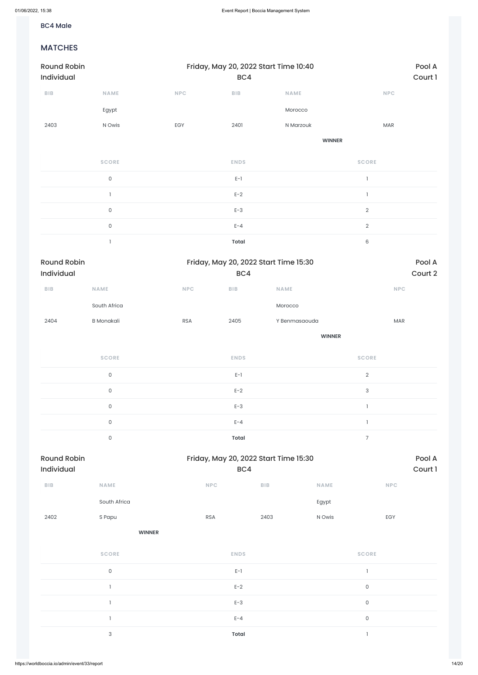### BC4 Male

### MATCHES

| <b>Round Robin</b><br>Individual |                     |            | Friday, May 20, 2022 Start Time 10:40<br>BC4 | Pool A<br>Court 1 |                          |  |
|----------------------------------|---------------------|------------|----------------------------------------------|-------------------|--------------------------|--|
| BIB                              | <b>NAME</b>         | <b>NPC</b> | <b>BIB</b>                                   | <b>NAME</b>       | <b>NPC</b>               |  |
|                                  | Egypt               |            |                                              | Morocco           |                          |  |
| 2403                             | N Owis              | EGY        | 2401                                         | N Marzouk         | MAR                      |  |
|                                  |                     |            |                                              | <b>WINNER</b>     |                          |  |
|                                  | <b>SCORE</b>        |            | <b>ENDS</b>                                  |                   | <b>SCORE</b>             |  |
|                                  | $\mathsf{O}\xspace$ |            | $\mathsf{E}\text{-}\mathsf{I}$               |                   | $\overline{1}$           |  |
|                                  | $\overline{1}$      |            | $E-2$                                        |                   | $\overline{\phantom{a}}$ |  |
|                                  | $\mathsf{O}\xspace$ |            | $E-3$                                        |                   | $\overline{2}$           |  |
|                                  | $\mathsf{O}\xspace$ |            | $E - 4$                                      |                   | $\mathbf{2}$             |  |
|                                  |                     |            | <b>Total</b>                                 |                   | 6                        |  |

| Round Robin<br>Friday, May 20, 2022 Start Time 15:30<br><b>Individual</b><br>BC4 |              |            |            |               |            |
|----------------------------------------------------------------------------------|--------------|------------|------------|---------------|------------|
| <b>BIB</b>                                                                       | <b>NAME</b>  | <b>NPC</b> | <b>BIB</b> | <b>NAME</b>   | <b>NPC</b> |
|                                                                                  | South Africa |            |            | Morocco       |            |
| 2404                                                                             | B Monakali   | <b>RSA</b> | 2405       | Y Benmasaouda | <b>MAR</b> |
|                                                                                  |              |            |            | <b>WINNER</b> |            |

| <b>Round Robin</b> | Friday, May 20, 2022 Start Time 15:30 | Pool A         |
|--------------------|---------------------------------------|----------------|
| $\mathbf 0$        | Total                                 | $\overline{ }$ |
| $\mathbf 0$        | $E - 4$                               |                |
| $\mathbf 0$        | $E-3$                                 |                |
| $\mathbf 0$        | $E-2$                                 | 3              |
| 0                  | $E-1$                                 | 2              |
| <b>SCORE</b>       | <b>ENDS</b>                           | <b>SCORE</b>   |

| <b>Round Robin</b><br><b>Individual</b> |             |            | Friday, May 20, 2022 Start Time 15:30 |             |            |         |  |  |
|-----------------------------------------|-------------|------------|---------------------------------------|-------------|------------|---------|--|--|
|                                         |             |            | BC4                                   |             |            | Court 1 |  |  |
| <b>BIB</b>                              | <b>NAME</b> | <b>NPC</b> | <b>BIB</b>                            | <b>NAME</b> | <b>NPC</b> |         |  |  |

South Africa **Egypt** 

| 2402 | S Papu                    | <b>RSA</b>   | 2403 | N Owis | EGY          |
|------|---------------------------|--------------|------|--------|--------------|
|      | <b>WINNER</b>             |              |      |        |              |
|      | <b>SCORE</b>              | <b>ENDS</b>  |      |        | <b>SCORE</b> |
|      | $\mathsf{O}$              | $E-1$        |      |        |              |
|      |                           | $E-2$        |      |        | $\mathsf O$  |
|      |                           | $E-3$        |      |        | $\mathsf O$  |
|      |                           | $E - 4$      |      |        | $\mathsf O$  |
|      | $\ensuremath{\mathsf{3}}$ | <b>Total</b> |      |        |              |
|      |                           |              |      |        |              |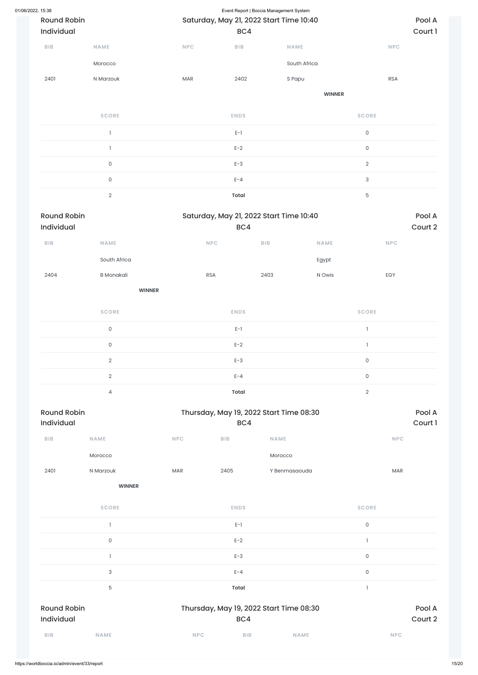| 01/06/2022, 15:38 |                    |                   |                                         |              | Event Report   Boccia Management System |               |                |            |         |
|-------------------|--------------------|-------------------|-----------------------------------------|--------------|-----------------------------------------|---------------|----------------|------------|---------|
|                   | <b>Round Robin</b> |                   | Saturday, May 21, 2022 Start Time 10:40 |              |                                         |               |                |            | Pool A  |
|                   | Individual         |                   |                                         | BC4          |                                         |               | Court 1        |            |         |
|                   | <b>BIB</b>         | <b>NAME</b>       | <b>NPC</b>                              | <b>BIB</b>   | NAME                                    |               |                | <b>NPC</b> |         |
|                   |                    | Morocco           |                                         |              | South Africa                            |               |                |            |         |
|                   | 2401               | N Marzouk         | <b>MAR</b>                              | 2402         | S Papu                                  |               |                | <b>RSA</b> |         |
|                   |                    |                   |                                         |              |                                         | <b>WINNER</b> |                |            |         |
|                   |                    | <b>SCORE</b>      |                                         | <b>ENDS</b>  |                                         |               | <b>SCORE</b>   |            |         |
|                   |                    | $\mathbf{l}$      |                                         | $E-1$        |                                         |               | $\mathsf O$    |            |         |
|                   |                    | $\mathbf{I}$      |                                         | $E-2$        |                                         |               | $\mathsf O$    |            |         |
|                   |                    | $\mathsf{O}$      |                                         | $E-3$        |                                         |               | $\overline{2}$ |            |         |
|                   |                    | $\mathsf{O}$      |                                         | $E - 4$      |                                         |               | $\sqrt{3}$     |            |         |
|                   |                    | $\sqrt{2}$        |                                         | <b>Total</b> |                                         |               | $\mathbf 5$    |            |         |
|                   | <b>Round Robin</b> |                   |                                         |              | Saturday, May 21, 2022 Start Time 10:40 |               |                |            | Pool A  |
|                   | Individual         |                   |                                         | BC4          |                                         |               |                |            | Court 2 |
|                   | <b>BIB</b>         | NAME              | <b>NPC</b>                              |              | <b>BIB</b>                              | NAME          |                | <b>NPC</b> |         |
|                   |                    | South Africa      |                                         |              |                                         | Egypt         |                |            |         |
|                   | 2404               | <b>B</b> Monakali | <b>RSA</b>                              |              | 2403                                    | N Owis        |                | EGY        |         |

**WINNER**

| <b>SCORE</b>   | <b>ENDS</b>  | <b>SCORE</b> |
|----------------|--------------|--------------|
| $\Omega$       | $E-1$        |              |
| 0              | $E-2$        |              |
| $\mathcal{D}$  | $E-3$        | 0            |
| $\overline{2}$ | $E - 4$      | 0            |
| 4              | <b>Total</b> | $\Omega$     |



| <b>SCORE</b>                     | <b>ENDS</b>                                    | <b>SCORE</b>              |
|----------------------------------|------------------------------------------------|---------------------------|
|                                  | $E-1$                                          | $\mathsf O$               |
| $\mathsf{O}\xspace$              | $E-2$                                          |                           |
|                                  | $E-3$                                          | $\mathsf{O}$              |
| $\ensuremath{\mathsf{3}}$        | $E - 4$                                        | $\mathsf{O}\xspace$       |
| $5\phantom{.0}$                  | <b>Total</b>                                   |                           |
| <b>Round Robin</b><br>Individual | Thursday, May 19, 2022 Start Time 08:30<br>BC4 | Pool A<br>Court 2         |
| BIB<br><b>NAME</b>               | <b>NPC</b><br><b>BIB</b>                       | <b>NPC</b><br><b>NAME</b> |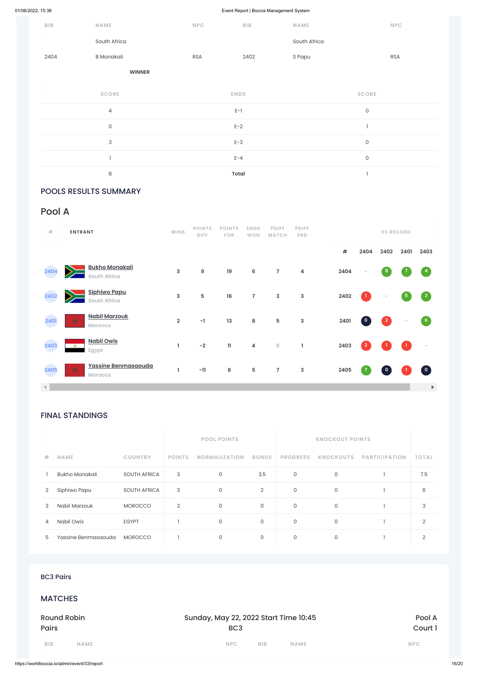| ${\sf B}{\sf I}{\sf B}$ | NAME                      | NPC        | BIB                            | <b>NAME</b>  | NPC                      |
|-------------------------|---------------------------|------------|--------------------------------|--------------|--------------------------|
|                         | South Africa              |            |                                | South Africa |                          |
| 2404                    | <b>B</b> Monakali         | <b>RSA</b> | 2402                           | S Papu       | <b>RSA</b>               |
|                         | <b>WINNER</b>             |            |                                |              |                          |
|                         | <b>SCORE</b>              |            | <b>ENDS</b>                    |              | <b>SCORE</b>             |
|                         | $\overline{4}$            |            | $\mathsf{E}\text{-}\mathsf{I}$ |              | $\mathsf O$              |
|                         | $\mathsf{O}\xspace$       |            | $E-2$                          |              | $\overline{\phantom{a}}$ |
|                         | $\ensuremath{\mathsf{3}}$ |            | $E-3$                          |              | $\mathsf{O}$             |
|                         |                           |            | $E - 4$                        |              | $\mathsf O$              |
|                         | $\,8\,$                   |            | <b>Total</b>                   |              | п.                       |

### POOLS RESULTS SUMMARY

# FINAL STANDINGS

|                |                       |                     |                                       | <b>POOL POINTS</b>   |                |                     | <b>KNOCKOUT POINTS</b> |                      |              |
|----------------|-----------------------|---------------------|---------------------------------------|----------------------|----------------|---------------------|------------------------|----------------------|--------------|
| $\#$           | <b>NAME</b>           | <b>COUNTRY</b>      | <b>POINTS</b>                         | <b>NORMALIZATION</b> | <b>BONUS</b>   | <b>PROGRESS</b>     | <b>KNOCKOUTS</b>       | <b>PARTICIPATION</b> | <b>TOTAL</b> |
|                | <b>Bukho Monakali</b> | <b>SOUTH AFRICA</b> | $\sqrt{3}$                            | $\mathsf O$          | 3.5            | $\mathsf O$         | $\mathsf O$            | $\mathbf{1}$         | 7.5          |
| $\overline{2}$ | Siphiwo Papu          | <b>SOUTH AFRICA</b> | $\ensuremath{\mathsf{3}}$             | $\mathsf O$          | $\overline{2}$ | $\mathsf O$         | $\mathsf{O}\xspace$    | 1                    | $6\,$        |
| $\sqrt{3}$     | Nabil Marzouk         | <b>MOROCCO</b>      | $\sqrt{2}$                            | $\mathsf{O}$         | $\mathsf{O}$   | $\mathsf O$         | $\mathsf{O}\xspace$    | $\mathbf{1}$         | $\sqrt{3}$   |
| 4              | Nabil Owis            | <b>EGYPT</b>        | $\overline{1}$                        | $\mathsf O$          | $\mathsf{O}$   | $\mathsf O$         | $\mathsf O$            | $\mathbf{1}$         | $\sqrt{2}$   |
| $\mathbf 5$    | Yassine Benmasaouda   | <b>MOROCCO</b>      | l,                                    | $\mathsf{O}$         | 0              | $\mathsf{O}\xspace$ | $\mathsf{O}\xspace$    | 1                    | $\sqrt{2}$   |
|                |                       |                     |                                       |                      |                |                     |                        |                      |              |
|                | <b>BC3 Pairs</b>      |                     |                                       |                      |                |                     |                        |                      |              |
|                | <b>MATCHES</b>        |                     |                                       |                      |                |                     |                        |                      |              |
|                | <b>Round Robin</b>    |                     | Sunday, May 22, 2022 Start Time 10:45 |                      |                |                     |                        | Pool A               |              |
| <b>Pairs</b>   |                       |                     |                                       | BC <sub>3</sub>      |                |                     |                        |                      | Court 1      |
| <b>BIB</b>     | <b>NAME</b>           |                     |                                       | <b>NPC</b>           | <b>BIB</b>     | <b>NAME</b>         |                        |                      | <b>NPC</b>   |

| #                    | <b>ENTRANT</b> |                                              | <b>WINS</b>    | <b>POINTS</b><br><b>DIFF</b> | <b>POINTS</b><br><b>FOR</b> | <b>ENDS</b><br><b>WON</b> | <b>PDIFF</b><br><b>MATCH</b> | <b>PDIFF</b><br><b>END</b> |      |                | <b>VS RECORD</b>         |            |                                   |
|----------------------|----------------|----------------------------------------------|----------------|------------------------------|-----------------------------|---------------------------|------------------------------|----------------------------|------|----------------|--------------------------|------------|-----------------------------------|
|                      |                |                                              |                |                              |                             |                           |                              |                            | #    | 2404           | 2402                     | 2401       | 2403                              |
| 2404                 | $\geq$         | <b>Bukho Monakali</b><br><b>South Africa</b> | 3              | $\boldsymbol{9}$             | 19                          | 6                         | $\overline{7}$               | $\overline{\mathbf{4}}$    | 2404 | $\sim$         | $\boldsymbol{8}$         |            | $\overline{4}$                    |
| 2402                 |                | <b>Siphiwo Papu</b><br><b>South Africa</b>   | 3              | 5                            | 16                          | $\overline{7}$            | $\mathbf{3}$                 | 3                          | 2402 | $\bf{1}$       | $\overline{\phantom{a}}$ | $\sqrt{5}$ | $\begin{bmatrix} 3 \end{bmatrix}$ |
| 2401                 | ☆              | <b>Nabil Marzouk</b><br>Morocco              | $\overline{2}$ | $-1$                         | 13                          | 8                         | 5                            | $\mathsf 3$                | 2401 | $\mathbf 0$    | $\vert$ 2                |            | $6 \frac{1}{2}$                   |
| 2403                 | <b>PA</b>      | <b>Nabil Owis</b><br>Egypt                   | L              | $-2$                         | $\mathbf{11}$               | $\overline{\mathbf{4}}$   | $\mathsf O$                  | ı                          | 2403 | $\overline{2}$ |                          |            |                                   |
| 2405                 | ☆              | Yassine Benmasaouda<br><b>Morocco</b>        |                | $-11$                        | ${\bf 8}$                   | $5\phantom{.0}$           | $\overline{7}$               | 3                          | 2405 |                | $\mathbf 0$              |            | $\bullet$                         |
| $\blacktriangleleft$ |                |                                              |                |                              |                             |                           |                              |                            |      |                |                          |            | $\blacktriangleright$             |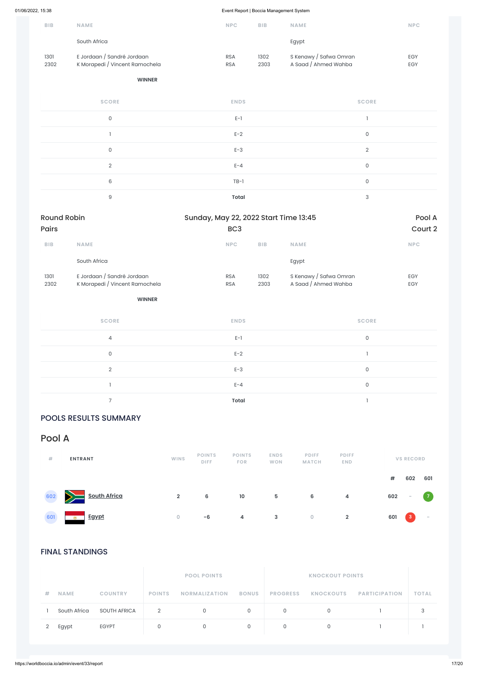| <b>BIB</b>   | <b>NAME</b>                                                  | <b>NPC</b>               | <b>BIB</b>   | <b>NAME</b>                                    | <b>NPC</b>               |
|--------------|--------------------------------------------------------------|--------------------------|--------------|------------------------------------------------|--------------------------|
|              | South Africa                                                 |                          |              | Egypt                                          |                          |
| 1301<br>2302 | E Jordaan / Sandré Jordaan<br>K Morapedi / Vincent Ramochela | <b>RSA</b><br><b>RSA</b> | 1302<br>2303 | S Kenawy / Safwa Omran<br>A Saad / Ahmed Wahba | <b>EGY</b><br><b>EGY</b> |

#### **WINNER**

| <b>SCORE</b> | <b>ENDS</b>  | <b>SCORE</b>   |
|--------------|--------------|----------------|
| $\mathsf O$  | $E-1$        |                |
|              | $E-2$        | 0              |
| $\mathbf 0$  | $E-3$        | $\overline{2}$ |
| 2            | $E - 4$      | $\mathbf 0$    |
| 6            | $TB-1$       | $\Omega$       |
| 9            | <b>Total</b> | 3              |

| <b>Round Robin</b> |                                                              |                          | Sunday, May 22, 2022 Start Time 13:45 |                                                |                          |  |  |  |
|--------------------|--------------------------------------------------------------|--------------------------|---------------------------------------|------------------------------------------------|--------------------------|--|--|--|
| <b>Pairs</b>       |                                                              | BC <sub>3</sub>          |                                       | Court 2                                        |                          |  |  |  |
| <b>BIB</b>         | <b>NAME</b>                                                  | <b>NPC</b>               | <b>BIB</b>                            | <b>NAME</b>                                    | <b>NPC</b>               |  |  |  |
|                    | South Africa                                                 |                          |                                       | Egypt                                          |                          |  |  |  |
| 1301<br>2302       | E Jordaan / Sandré Jordaan<br>K Morapedi / Vincent Ramochela | <b>RSA</b><br><b>RSA</b> | 1302<br>2303                          | S Kenawy / Safwa Omran<br>A Saad / Ahmed Wahba | <b>EGY</b><br><b>EGY</b> |  |  |  |

#### **WINNER**

| <b>SCORE</b> | <b>ENDS</b>  | <b>SCORE</b> |
|--------------|--------------|--------------|
| 4            | $E-1$        | $\mathbf{0}$ |
| $\Omega$     | $E-2$        |              |
| $\Omega$     | $E-3$        | 0            |
|              | $E - 4$      | 0            |
|              | <b>Total</b> |              |

# POOLS RESULTS SUMMARY

FINAL STANDINGS

|   |              |                     |               | <b>POOL POINTS</b>   |              |                 |                  |                      |              |
|---|--------------|---------------------|---------------|----------------------|--------------|-----------------|------------------|----------------------|--------------|
| 井 | <b>NAME</b>  | <b>COUNTRY</b>      | <b>POINTS</b> | <b>NORMALIZATION</b> | <b>BONUS</b> | <b>PROGRESS</b> | <b>KNOCKOUTS</b> | <b>PARTICIPATION</b> | <b>TOTAL</b> |
|   | South Africa | <b>SOUTH AFRICA</b> | 2             | 0                    | 0            | 0               |                  |                      | っ            |
|   | Egypt        | <b>EGYPT</b>        | 0             |                      |              |                 |                  |                      |              |

| #   | <b>ENTRANT</b>      | <b>WINS</b>    | <b>POINTS</b><br><b>DIFF</b> | <b>POINTS</b><br><b>FOR</b> | <b>ENDS</b><br><b>WON</b> | <b>PDIFF</b><br><b>MATCH</b> | <b>PDIFF</b><br><b>END</b> |     | <b>VS RECORD</b> |     |  |
|-----|---------------------|----------------|------------------------------|-----------------------------|---------------------------|------------------------------|----------------------------|-----|------------------|-----|--|
|     |                     |                |                              |                             |                           |                              |                            | #   | 602              | 601 |  |
| 602 | <b>South Africa</b> | $\overline{2}$ | 6                            | 10                          | 5                         | 6                            | 4                          | 602 | $\sim$           |     |  |



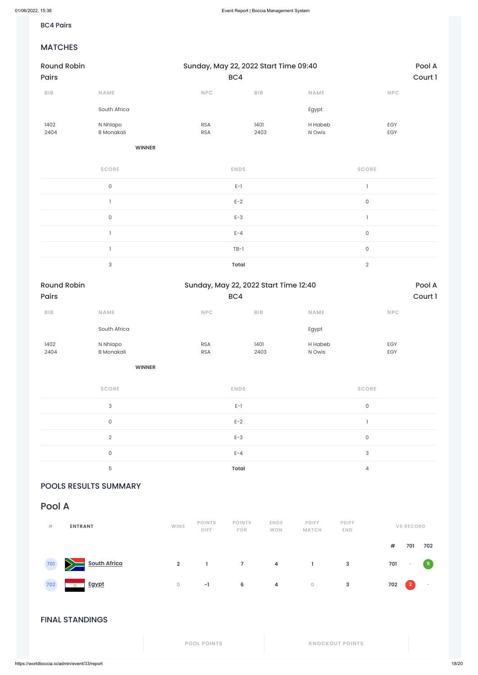### BC4 Pairs

### MATCHES

| <b>Round Robin</b>          |                               | Sunday, May 22, 2022 Start Time 09:40        |                         |                     |                     |                   |  |  |  |  |
|-----------------------------|-------------------------------|----------------------------------------------|-------------------------|---------------------|---------------------|-------------------|--|--|--|--|
| Pairs                       |                               | BC4                                          |                         |                     |                     | Court 1           |  |  |  |  |
| ${\sf B}{\sf I}{\sf B}$     | NAME                          | $\ensuremath{\mathsf{NPC}}$                  | ${\sf B}{\sf I}{\sf B}$ | NAME                | <b>NPC</b>          |                   |  |  |  |  |
|                             | South Africa                  |                                              |                         | Egypt               |                     |                   |  |  |  |  |
| 1402<br>2404                | N Nhlapo<br><b>B</b> Monakali | <b>RSA</b><br><b>RSA</b>                     | 1401<br>2403            | H Habeb<br>N Owis   | EGY<br>EGY          |                   |  |  |  |  |
|                             | <b>WINNER</b>                 |                                              |                         |                     |                     |                   |  |  |  |  |
|                             | <b>SCORE</b>                  | <b>ENDS</b>                                  |                         |                     | <b>SCORE</b>        |                   |  |  |  |  |
|                             | $\mathsf{O}\xspace$           | $E-1$                                        |                         |                     | $\mathbf{I}$        |                   |  |  |  |  |
|                             | $\mathbf{I}$                  | $E-2$                                        |                         |                     | $\mathsf{O}\xspace$ |                   |  |  |  |  |
|                             | $\mathsf{O}\xspace$           | $E-3$                                        |                         | $\mathbf{I}$        |                     |                   |  |  |  |  |
|                             | $\mathbf{I}$                  | $E - 4$                                      |                         | $\mathsf{O}\xspace$ |                     |                   |  |  |  |  |
|                             | $\mathbb{I}$                  | $TB-1$                                       |                         |                     | $\mathsf{O}\xspace$ |                   |  |  |  |  |
|                             | 3                             | <b>Total</b>                                 |                         |                     | $\overline{2}$      |                   |  |  |  |  |
| <b>Round Robin</b><br>Pairs |                               | Sunday, May 22, 2022 Start Time 12:40<br>BC4 |                         |                     |                     | Pool A<br>Court 1 |  |  |  |  |
| ${\sf B}{\sf I}{\sf B}$     | <b>NAME</b>                   | <b>NPC</b>                                   | BIB                     | <b>NAME</b>         | <b>NPC</b>          |                   |  |  |  |  |
|                             | South Africa                  |                                              |                         | Egypt               |                     |                   |  |  |  |  |
| 1402<br>2404                | N Nhlapo<br><b>B</b> Monakali | <b>RSA</b><br><b>RSA</b>                     | 1401<br>2403            | H Habeb<br>N Owis   | EGY<br>EGY          |                   |  |  |  |  |
|                             | <b>WINNER</b>                 |                                              |                         |                     |                     |                   |  |  |  |  |
|                             | <b>SCORE</b>                  | <b>ENDS</b>                                  |                         |                     | <b>SCORE</b>        |                   |  |  |  |  |
|                             | $\mathsf 3$                   | $E-1$                                        |                         |                     | $\mathsf O$         |                   |  |  |  |  |
|                             | $\mathsf O$                   | $E-2$                                        |                         |                     | $\mathbb{I}$        |                   |  |  |  |  |
|                             | $\overline{2}$                | $E-3$                                        |                         |                     | $\mathsf O$         |                   |  |  |  |  |
|                             | $\mathsf{O}$                  | $E - 4$                                      |                         |                     | $\mathsf 3$         |                   |  |  |  |  |
|                             | $\mathbf 5$                   | Total                                        |                         |                     | $\overline{4}$      |                   |  |  |  |  |

POOLS RESULTS SUMMARY

FINAL STANDINGS

**POOL POINTS KNOCKOUT POINTS**

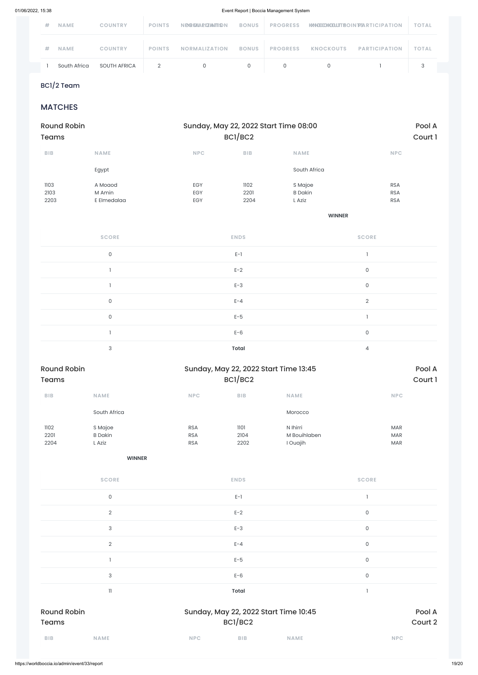$21/2$  Fegypt  $21/2$  Fegypt  $21/2$ BC1/2 Team

# **MATCHES**

| # | <b>NAME</b>  | <b>COUNTRY</b> | <b>POINTS</b> | <b>N PG MARIZIAMTS N</b> | <b>BONUS</b> | <b>PROGRESS</b> |                  | KANDIDACOULT BOIN TPSARTIC IP A TION | <b>TOTAL</b> |
|---|--------------|----------------|---------------|--------------------------|--------------|-----------------|------------------|--------------------------------------|--------------|
| # | <b>NAME</b>  | <b>COUNTRY</b> | <b>POINTS</b> | <b>NORMALIZATION</b>     | <b>BONUS</b> | <b>PROGRESS</b> | <b>KNOCKOUTS</b> | <b>PARTICIPATION</b>                 | <b>TOTAL</b> |
|   | South Africa | SOUTH AFRICA   |               |                          |              |                 |                  |                                      |              |

| <b>Round Robin</b> |                           |                             |                         | Sunday, May 22, 2022 Start Time 08:00 |              | Pool A  |
|--------------------|---------------------------|-----------------------------|-------------------------|---------------------------------------|--------------|---------|
| <b>Teams</b>       |                           |                             | BC1/BC2                 |                                       |              | Court 1 |
| BIB                | NAME                      | NPC                         | BIB                     | <b>NAME</b>                           | NPC          |         |
|                    | Egypt                     |                             |                         | South Africa                          |              |         |
| 1103               | A Moaod                   | EGY                         | 1102                    | S Majoe                               | <b>RSA</b>   |         |
| 2103               | M Amin                    | EGY                         | 2201                    | <b>B</b> Dakin                        | <b>RSA</b>   |         |
| 2203               | E Elmedalaa               | EGY                         | 2204                    | L Aziz                                | <b>RSA</b>   |         |
|                    |                           |                             |                         | <b>WINNER</b>                         |              |         |
|                    | <b>SCORE</b>              |                             | <b>ENDS</b>             |                                       | <b>SCORE</b> |         |
|                    |                           |                             |                         |                                       |              |         |
|                    | $\mathsf{O}\xspace$       |                             | $E-1$                   |                                       | $\mathbf{I}$ |         |
|                    | $\mathbf{I}$              |                             | $E-2$                   |                                       | $\mathsf{O}$ |         |
|                    | $\mathbbm{1}$             |                             | $E-3$                   |                                       | $\mathsf{O}$ |         |
|                    | $\mathsf{O}\xspace$       |                             | $E - 4$                 |                                       | $\mathbf{2}$ |         |
|                    | $\mathsf{O}\xspace$       |                             | $E-5$                   |                                       | $\mathbf{1}$ |         |
|                    | $\mathbbm{1}$             |                             | $E-6$                   |                                       | $\mathsf{O}$ |         |
|                    | $\ensuremath{\mathsf{3}}$ |                             | <b>Total</b>            |                                       | $\sqrt{4}$   |         |
| <b>Round Robin</b> |                           |                             |                         | Sunday, May 22, 2022 Start Time 13:45 |              | Pool A  |
| <b>Teams</b>       |                           |                             | BC1/BC2                 |                                       |              | Court 1 |
| BIB                | NAME                      | $\ensuremath{\mathsf{NPC}}$ | ${\sf B}{\sf I}{\sf B}$ | NAME                                  | NPC          |         |
|                    | South Africa              |                             |                         | Morocco                               |              |         |
| 1102               | S Majoe                   | <b>RSA</b>                  | 1101                    | N Ihirri                              | MAR          |         |
| 2201               | <b>B</b> Dakin            | RSA                         | 2104                    | M Bouihlaben                          | MAR          |         |
| 2204               | L Aziz                    | RSA                         | 2202                    | I Ouajih                              | $\sf{MAR}$   |         |
|                    | <b>WINNER</b>             |                             |                         |                                       |              |         |
|                    |                           |                             |                         |                                       |              |         |
|                    | <b>SCORE</b>              |                             | <b>ENDS</b>             |                                       | <b>SCORE</b> |         |

| <b>BIB</b>                         | <b>NAME</b>    | <b>NPC</b> | <b>BIB</b>                                       | <b>NAME</b>       |                     | <b>NPC</b> |
|------------------------------------|----------------|------------|--------------------------------------------------|-------------------|---------------------|------------|
| <b>Round Robin</b><br><b>Teams</b> |                |            | Sunday, May 22, 2022 Start Time 10:45<br>BC1/BC2 | Pool A<br>Court 2 |                     |            |
|                                    | 11             |            | <b>Total</b>                                     |                   |                     |            |
|                                    | 3              |            | $E-6$                                            |                   | $\mathsf{O}\xspace$ |            |
|                                    |                |            | $E-5$                                            |                   | $\mathsf O$         |            |
|                                    | $\sqrt{2}$     |            | $E - 4$                                          |                   | $\mathsf O$         |            |
|                                    | 3              |            | $E-3$                                            |                   | $\mathsf{O}\xspace$ |            |
|                                    | $\overline{2}$ |            | $E-2$                                            |                   | $\mathsf{O}\xspace$ |            |

 $E-1$  and  $E-1$  and  $E-1$  and  $E-1$  and  $E-1$  and  $E-1$  and  $E-1$  and  $E-1$  and  $E-1$  and  $E-1$  and  $E-1$  and  $E-1$  and  $E-1$  and  $E-1$  and  $E-1$  and  $E-1$  and  $E-1$  and  $E-1$  and  $E-1$  and  $E-1$  and  $E-1$  and  $E-1$  and